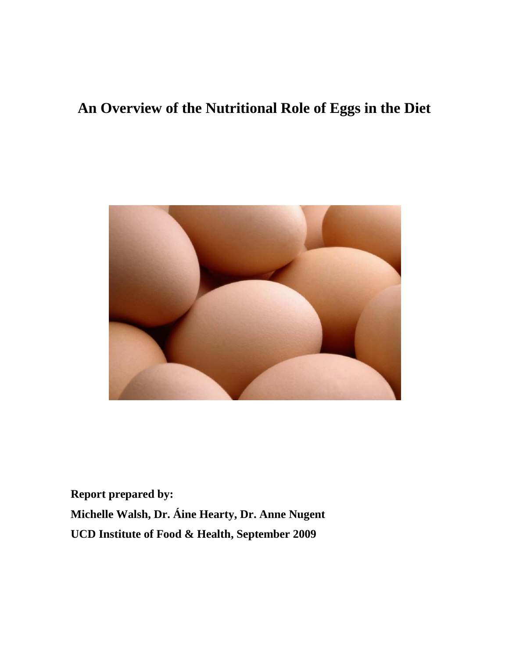# **An Overview of the Nutritional Role of Eggs in the Diet**



**Report prepared by: Michelle Walsh, Dr. Áine Hearty, Dr. Anne Nugent UCD Institute of Food & Health, September 2009**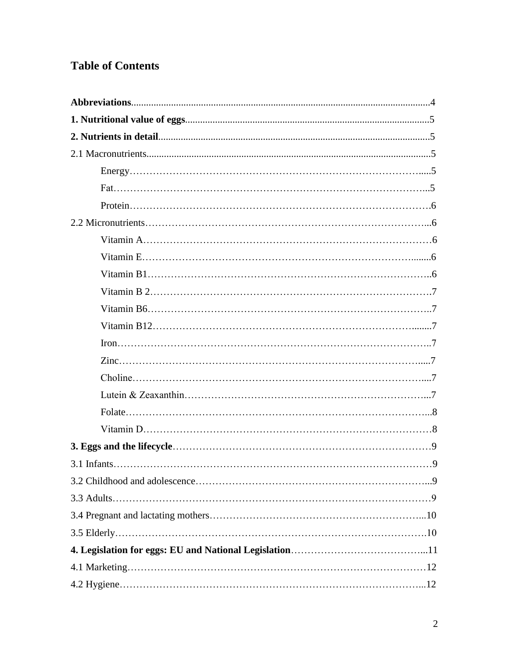# **Table of Contents**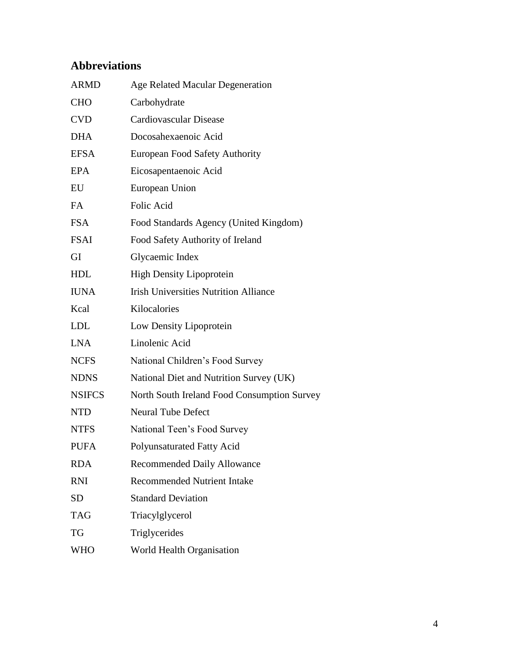# **Abbreviations**

| <b>ARMD</b>   | <b>Age Related Macular Degeneration</b>      |
|---------------|----------------------------------------------|
| <b>CHO</b>    | Carbohydrate                                 |
| <b>CVD</b>    | <b>Cardiovascular Disease</b>                |
| <b>DHA</b>    | Docosahexaenoic Acid                         |
| <b>EFSA</b>   | <b>European Food Safety Authority</b>        |
| <b>EPA</b>    | Eicosapentaenoic Acid                        |
| EU            | European Union                               |
| FA            | Folic Acid                                   |
| <b>FSA</b>    | Food Standards Agency (United Kingdom)       |
| <b>FSAI</b>   | Food Safety Authority of Ireland             |
| GI            | Glycaemic Index                              |
| HDL           | <b>High Density Lipoprotein</b>              |
| <b>IUNA</b>   | <b>Irish Universities Nutrition Alliance</b> |
| Kcal          | Kilocalories                                 |
| LDL           | Low Density Lipoprotein                      |
| <b>LNA</b>    | Linolenic Acid                               |
| <b>NCFS</b>   | National Children's Food Survey              |
| <b>NDNS</b>   | National Diet and Nutrition Survey (UK)      |
| <b>NSIFCS</b> | North South Ireland Food Consumption Survey  |
| <b>NTD</b>    | <b>Neural Tube Defect</b>                    |
| <b>NTFS</b>   | National Teen's Food Survey                  |
| <b>PUFA</b>   | Polyunsaturated Fatty Acid                   |
| <b>RDA</b>    | <b>Recommended Daily Allowance</b>           |
| <b>RNI</b>    | <b>Recommended Nutrient Intake</b>           |
| <b>SD</b>     | <b>Standard Deviation</b>                    |
| <b>TAG</b>    | Triacylglycerol                              |
| TG            | Triglycerides                                |
| <b>WHO</b>    | World Health Organisation                    |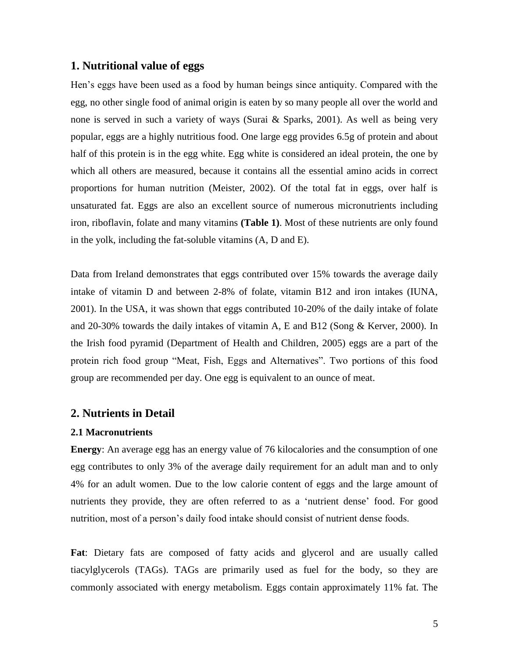# **1. Nutritional value of eggs**

Hen"s eggs have been used as a food by human beings since antiquity. Compared with the egg, no other single food of animal origin is eaten by so many people all over the world and none is served in such a variety of ways (Surai & Sparks, 2001). As well as being very popular, eggs are a highly nutritious food. One large egg provides 6.5g of protein and about half of this protein is in the egg white. Egg white is considered an ideal protein, the one by which all others are measured, because it contains all the essential amino acids in correct proportions for human nutrition (Meister, 2002). Of the total fat in eggs, over half is unsaturated fat. Eggs are also an excellent source of numerous micronutrients including iron, riboflavin, folate and many vitamins **(Table 1)**. Most of these nutrients are only found in the yolk, including the fat-soluble vitamins (A, D and E).

Data from Ireland demonstrates that eggs contributed over 15% towards the average daily intake of vitamin D and between 2-8% of folate, vitamin B12 and iron intakes (IUNA, 2001). In the USA, it was shown that eggs contributed 10-20% of the daily intake of folate and 20-30% towards the daily intakes of vitamin A, E and B12 (Song & Kerver, 2000). In the Irish food pyramid (Department of Health and Children, 2005) eggs are a part of the protein rich food group "Meat, Fish, Eggs and Alternatives". Two portions of this food group are recommended per day. One egg is equivalent to an ounce of meat.

# **2. Nutrients in Detail**

#### **2.1 Macronutrients**

**Energy**: An average egg has an energy value of 76 kilocalories and the consumption of one egg contributes to only 3% of the average daily requirement for an adult man and to only 4% for an adult women. Due to the low calorie content of eggs and the large amount of nutrients they provide, they are often referred to as a "nutrient dense" food. For good nutrition, most of a person"s daily food intake should consist of nutrient dense foods.

**Fat**: Dietary fats are composed of fatty acids and glycerol and are usually called tiacylglycerols (TAGs). TAGs are primarily used as fuel for the body, so they are commonly associated with energy metabolism. Eggs contain approximately 11% fat. The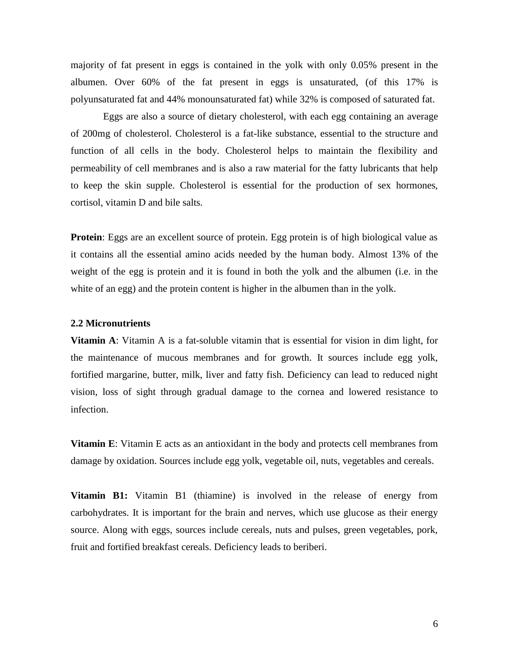majority of fat present in eggs is contained in the yolk with only 0.05% present in the albumen. Over 60% of the fat present in eggs is unsaturated, (of this 17% is polyunsaturated fat and 44% monounsaturated fat) while 32% is composed of saturated fat.

Eggs are also a source of dietary cholesterol, with each egg containing an average of 200mg of cholesterol. Cholesterol is a fat-like substance, essential to the structure and function of all cells in the body. Cholesterol helps to maintain the flexibility and permeability of cell membranes and is also a raw material for the fatty lubricants that help to keep the skin supple. Cholesterol is essential for the production of sex hormones, cortisol, vitamin D and bile salts.

**Protein**: Eggs are an excellent source of protein. Egg protein is of high biological value as it contains all the essential amino acids needed by the human body. Almost 13% of the weight of the egg is protein and it is found in both the yolk and the albumen (i.e. in the white of an egg) and the protein content is higher in the albumen than in the yolk.

#### **2.2 Micronutrients**

**Vitamin A**: Vitamin A is a fat-soluble vitamin that is essential for vision in dim light, for the maintenance of mucous membranes and for growth. It sources include egg yolk, fortified margarine, butter, milk, liver and fatty fish. Deficiency can lead to reduced night vision, loss of sight through gradual damage to the cornea and lowered resistance to infection.

**Vitamin E**: Vitamin E acts as an antioxidant in the body and protects cell membranes from damage by oxidation. Sources include egg yolk, vegetable oil, nuts, vegetables and cereals.

**Vitamin B1:** Vitamin B1 (thiamine) is involved in the release of energy from carbohydrates. It is important for the brain and nerves, which use glucose as their energy source. Along with eggs, sources include cereals, nuts and pulses, green vegetables, pork, fruit and fortified breakfast cereals. Deficiency leads to beriberi.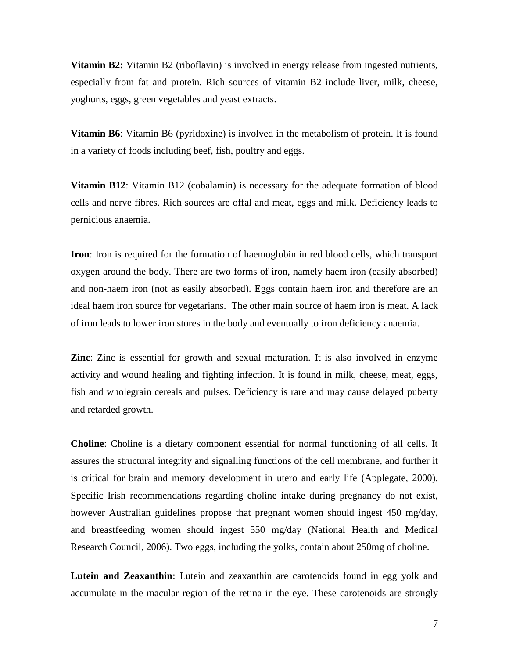**Vitamin B2:** Vitamin B2 (riboflavin) is involved in energy release from ingested nutrients, especially from fat and protein. Rich sources of vitamin B2 include liver, milk, cheese, yoghurts, eggs, green vegetables and yeast extracts.

**Vitamin B6**: Vitamin B6 (pyridoxine) is involved in the metabolism of protein. It is found in a variety of foods including beef, fish, poultry and eggs.

**Vitamin B12**: Vitamin B12 (cobalamin) is necessary for the adequate formation of blood cells and nerve fibres. Rich sources are offal and meat, eggs and milk. Deficiency leads to pernicious anaemia.

**Iron**: Iron is required for the formation of haemoglobin in red blood cells, which transport oxygen around the body. There are two forms of iron, namely haem iron (easily absorbed) and non-haem iron (not as easily absorbed). Eggs contain haem iron and therefore are an ideal haem iron source for vegetarians. The other main source of haem iron is meat. A lack of iron leads to lower iron stores in the body and eventually to iron deficiency anaemia.

**Zinc**: Zinc is essential for growth and sexual maturation. It is also involved in enzyme activity and wound healing and fighting infection. It is found in milk, cheese, meat, eggs, fish and wholegrain cereals and pulses. Deficiency is rare and may cause delayed puberty and retarded growth.

**Choline**: Choline is a dietary component essential for normal functioning of all cells. It assures the structural integrity and signalling functions of the cell membrane, and further it is critical for brain and memory development in utero and early life (Applegate, 2000). Specific Irish recommendations regarding choline intake during pregnancy do not exist, however Australian guidelines propose that pregnant women should ingest 450 mg/day, and breastfeeding women should ingest 550 mg/day (National Health and Medical Research Council, 2006). Two eggs, including the yolks, contain about 250mg of choline.

**Lutein and Zeaxanthin**: Lutein and zeaxanthin are carotenoids found in egg yolk and accumulate in the macular region of the retina in the eye. These carotenoids are strongly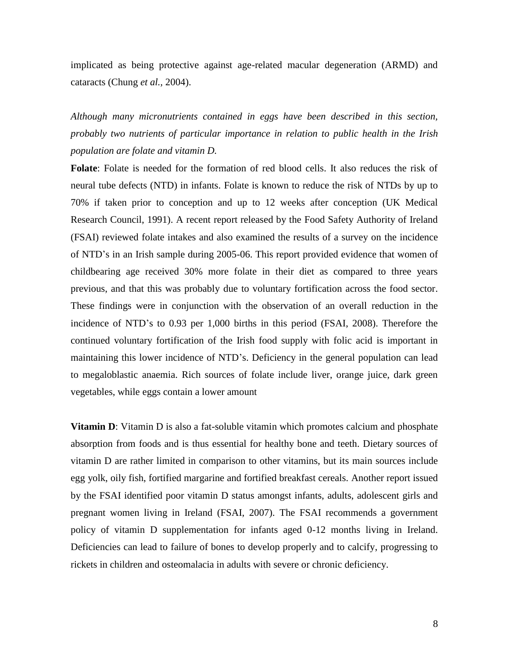implicated as being protective against age-related macular degeneration (ARMD) and cataracts (Chung *et al.,* 2004).

*Although many micronutrients contained in eggs have been described in this section, probably two nutrients of particular importance in relation to public health in the Irish population are folate and vitamin D.* 

**Folate**: Folate is needed for the formation of red blood cells. It also reduces the risk of neural tube defects (NTD) in infants. Folate is known to reduce the risk of NTDs by up to 70% if taken prior to conception and up to 12 weeks after conception (UK Medical Research Council, 1991). A recent report released by the Food Safety Authority of Ireland (FSAI) reviewed folate intakes and also examined the results of a survey on the incidence of NTD"s in an Irish sample during 2005-06. This report provided evidence that women of childbearing age received 30% more folate in their diet as compared to three years previous, and that this was probably due to voluntary fortification across the food sector. These findings were in conjunction with the observation of an overall reduction in the incidence of NTD"s to 0.93 per 1,000 births in this period (FSAI, 2008). Therefore the continued voluntary fortification of the Irish food supply with folic acid is important in maintaining this lower incidence of NTD"s. Deficiency in the general population can lead to megaloblastic anaemia. Rich sources of folate include liver, orange juice, dark green vegetables, while eggs contain a lower amount

**Vitamin D**: Vitamin D is also a fat-soluble vitamin which promotes calcium and phosphate absorption from foods and is thus essential for healthy bone and teeth. Dietary sources of vitamin D are rather limited in comparison to other vitamins, but its main sources include egg yolk, oily fish, fortified margarine and fortified breakfast cereals. Another report issued by the FSAI identified poor vitamin D status amongst infants, adults, adolescent girls and pregnant women living in Ireland (FSAI, 2007). The FSAI recommends a government policy of vitamin D supplementation for infants aged 0-12 months living in Ireland. Deficiencies can lead to failure of bones to develop properly and to calcify, progressing to rickets in children and osteomalacia in adults with severe or chronic deficiency.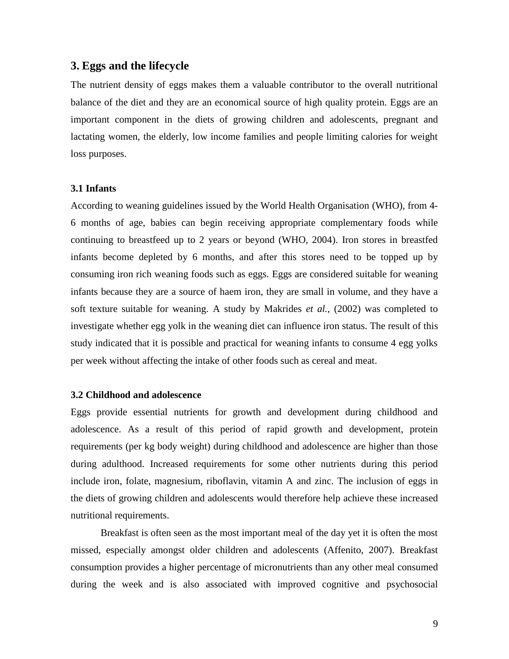## **3. Eggs and the lifecycle**

The nutrient density of eggs makes them a valuable contributor to the overall nutritional balance of the diet and they are an economical source of high quality protein. Eggs are an important component in the diets of growing children and adolescents, pregnant and lactating women, the elderly, low income families and people limiting calories for weight loss purposes.

#### **3.1 Infants**

According to weaning guidelines issued by the World Health Organisation (WHO), from 4- 6 months of age, babies can begin receiving appropriate complementary foods while continuing to breastfeed up to 2 years or beyond (WHO, 2004). Iron stores in breastfed infants become depleted by 6 months, and after this stores need to be topped up by consuming iron rich weaning foods such as eggs. Eggs are considered suitable for weaning infants because they are a source of haem iron, they are small in volume, and they have a soft texture suitable for weaning. A study by Makrides *et al.,* (2002) was completed to investigate whether egg yolk in the weaning diet can influence iron status. The result of this study indicated that it is possible and practical for weaning infants to consume 4 egg yolks per week without affecting the intake of other foods such as cereal and meat.

#### **3.2 Childhood and adolescence**

Eggs provide essential nutrients for growth and development during childhood and adolescence. As a result of this period of rapid growth and development, protein requirements (per kg body weight) during childhood and adolescence are higher than those during adulthood. Increased requirements for some other nutrients during this period include iron, folate, magnesium, riboflavin, vitamin A and zinc. The inclusion of eggs in the diets of growing children and adolescents would therefore help achieve these increased nutritional requirements.

Breakfast is often seen as the most important meal of the day yet it is often the most missed, especially amongst older children and adolescents (Affenito, 2007). Breakfast consumption provides a higher percentage of micronutrients than any other meal consumed during the week and is also associated with improved cognitive and psychosocial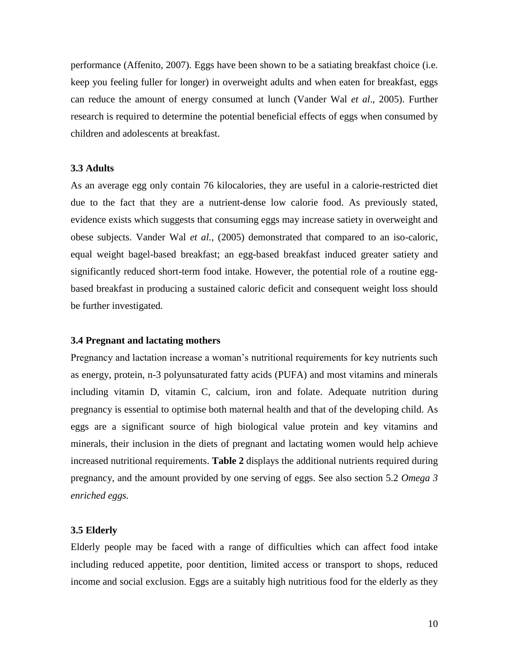performance (Affenito, 2007). Eggs have been shown to be a satiating breakfast choice (i.e. keep you feeling fuller for longer) in overweight adults and when eaten for breakfast, eggs can reduce the amount of energy consumed at lunch (Vander Wal *et al*., 2005). Further research is required to determine the potential beneficial effects of eggs when consumed by children and adolescents at breakfast.

#### **3.3 Adults**

As an average egg only contain 76 kilocalories, they are useful in a calorie-restricted diet due to the fact that they are a nutrient-dense low calorie food. As previously stated, evidence exists which suggests that consuming eggs may increase satiety in overweight and obese subjects. Vander Wal *et al.,* (2005) demonstrated that compared to an iso-caloric, equal weight bagel-based breakfast; an egg-based breakfast induced greater satiety and significantly reduced short-term food intake. However, the potential role of a routine eggbased breakfast in producing a sustained caloric deficit and consequent weight loss should be further investigated.

#### **3.4 Pregnant and lactating mothers**

Pregnancy and lactation increase a woman"s nutritional requirements for key nutrients such as energy, protein, n-3 polyunsaturated fatty acids (PUFA) and most vitamins and minerals including vitamin D, vitamin C, calcium, iron and folate. Adequate nutrition during pregnancy is essential to optimise both maternal health and that of the developing child. As eggs are a significant source of high biological value protein and key vitamins and minerals, their inclusion in the diets of pregnant and lactating women would help achieve increased nutritional requirements. **Table 2** displays the additional nutrients required during pregnancy, and the amount provided by one serving of eggs. See also section 5.2 *Omega 3 enriched eggs.* 

#### **3.5 Elderly**

Elderly people may be faced with a range of difficulties which can affect food intake including reduced appetite, poor dentition, limited access or transport to shops, reduced income and social exclusion. Eggs are a suitably high nutritious food for the elderly as they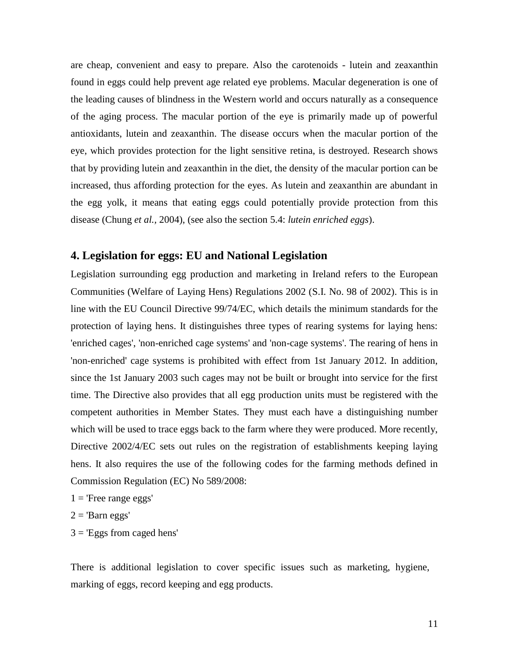are cheap, convenient and easy to prepare. Also the carotenoids - lutein and zeaxanthin found in eggs could help prevent age related eye problems. Macular degeneration is one of the leading causes of blindness in the Western world and occurs naturally as a consequence of the aging process. The macular portion of the eye is primarily made up of powerful antioxidants, lutein and zeaxanthin. The disease occurs when the macular portion of the eye, which provides protection for the light sensitive retina, is destroyed. Research shows that by providing lutein and zeaxanthin in the diet, the density of the macular portion can be increased, thus affording protection for the eyes. As lutein and zeaxanthin are abundant in the egg yolk, it means that eating eggs could potentially provide protection from this disease (Chung *et al.,* 2004), (see also the section 5.4: *lutein enriched eggs*).

# **4. Legislation for eggs: EU and National Legislation**

Legislation surrounding egg production and marketing in Ireland refers to the European Communities (Welfare of Laying Hens) Regulations 2002 [\(S.I. No. 98 of 2002\)](http://www.irishstatutebook.ie/2002/en/si/0098.html). This is in line with the EU [Council Directive 99/74/EC,](http://www.fsai.ie/uploadedFiles/Dir1999_74.pdf) which details the minimum standards for the protection of laying hens. It distinguishes three types of rearing systems for laying hens: 'enriched cages', 'non-enriched cage systems' and 'non-cage systems'. The rearing of hens in 'non-enriched' cage systems is prohibited with effect from 1st January 2012. In addition, since the 1st January 2003 such cages may not be built or brought into service for the first time. The Directive also provides that all egg production units must be registered with the competent authorities in Member States. They must each have a distinguishing number which will be used to trace eggs back to the farm where they were produced. More recently, [Directive 2002/4/EC](http://www.fsai.ie/uploadedFiles/Dir2002_4.pdf) sets out rules on the registration of establishments keeping laying hens. It also requires the use of the following codes for the farming methods defined in Commission Regulation (EC) No 589/2008:

 $1$  = 'Free range eggs'

 $2 =$ 'Barn eggs'

 $3 =$  'Eggs from caged hens'

There is additional legislation to cover specific issues such as marketing, hygiene, marking of eggs, record keeping and egg products.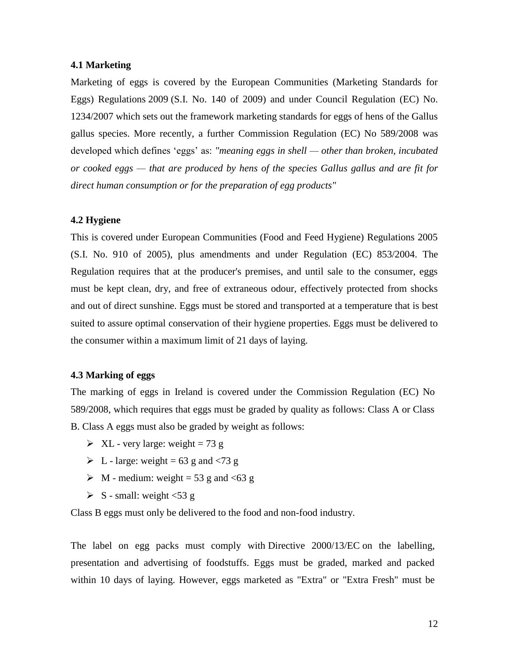#### **4.1 Marketing**

Marketing of eggs is covered by the European Communities (Marketing Standards for Eggs) Regulations 2009 (S.I. No. [140 of 2009\)](http://www.fsai.ie/uploadedFiles/SI140_2009.pdf) and under [Council Regulation \(EC\) No.](http://www.fsai.ie/uploadedFiles/Legislation/Food_Legisation_Links/CMO/Consol_Reg1234_2007.pdf)  [1234/2007](http://www.fsai.ie/uploadedFiles/Legislation/Food_Legisation_Links/CMO/Consol_Reg1234_2007.pdf) which sets out the framework marketing standards for eggs of hens of the Gallus gallus species. More recently, a further [Commission Regulation \(EC\) No 589/2008](http://www.fsai.ie/uploadedFiles/Reg589_2008(2).pdf) was developed which defines "eggs" as: *"meaning eggs in shell — other than broken, incubated or cooked eggs — that are produced by hens of the species Gallus gallus and are fit for direct human consumption or for the preparation of egg products"*

## **4.2 Hygiene**

This is covered under European Communities (Food and Feed Hygiene) Regulations 2005 [\(S.I. No. 910 of 2005\)](http://www.fsai.ie/uploadedFiles/SI910_2005(2).pdf), plus amendments and under [Regulation \(EC\) 853/2004.](http://www.fsai.ie/uploadedFiles/Reg853_2004(2).pdf) The Regulation requires that at the producer's premises, and until sale to the consumer, eggs must be kept clean, dry, and free of extraneous odour, effectively protected from shocks and out of direct sunshine. Eggs must be stored and transported at a temperature that is best suited to assure optimal conservation of their hygiene properties. Eggs must be delivered to the consumer within a maximum limit of 21 days of laying.

## **4.3 Marking of eggs**

The marking of eggs in Ireland is covered under the [Commission Regulation \(EC\) No](http://www.fsai.ie/uploadedFiles/Reg89_2006(1).pdf)  [589/2008,](http://www.fsai.ie/uploadedFiles/Reg89_2006(1).pdf) which requires that eggs must be graded by quality as follows: Class A or Class B. Class A eggs must also be graded by weight as follows:

- $\triangleright$  XL very large: weight = 73 g
- $\triangleright$  L large: weight = 63 g and <73 g
- $\triangleright$  M medium: weight = 53 g and <63 g
- $\triangleright$  S small: weight <53 g

Class B eggs must only be delivered to the food and non-food industry.

The label on egg packs must comply with [Directive 2000/13/EC](http://www.fsai.ie/uploadedFiles/Consol_Dir2000_13(2).pdf) on the labelling, presentation and advertising of foodstuffs. Eggs must be graded, marked and packed within 10 days of laying. However, eggs marketed as "Extra" or "Extra Fresh" must be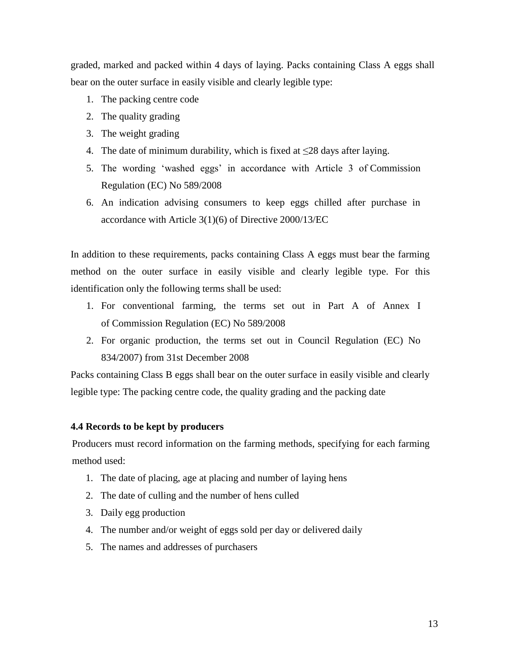graded, marked and packed within 4 days of laying. Packs containing Class A eggs shall bear on the outer surface in easily visible and clearly legible type:

- 1. The packing centre code
- 2. The quality grading
- 3. The weight grading
- 4. The date of minimum durability, which is fixed at  $\leq$ 28 days after laying.
- 5. The wording "washed eggs" in accordance with Article 3 of [Commission](http://www.fsai.ie/uploadedFiles/Reg89_2006(1).pdf)  [Regulation \(EC\) No 589/2008](http://www.fsai.ie/uploadedFiles/Reg89_2006(1).pdf)
- 6. An indication advising consumers to keep eggs chilled after purchase in accordance with Article 3(1)(6) of [Directive 2000/13/EC](http://www.fsai.ie/uploadedFiles/Consol_Dir2000_13(2).pdf)

In addition to these requirements, packs containing Class A eggs must bear the farming method on the outer surface in easily visible and clearly legible type. For this identification only the following terms shall be used:

- 1. For conventional farming, the terms set out in Part A of Annex I of [Commission Regulation \(EC\) No 589/2008](http://www.fsai.ie/uploadedFiles/Reg89_2006(1).pdf)
- 2. For organic production, the terms set out in [Council Regulation \(EC\) No](http://www.fsai.ie/uploadedFiles/Reg834_2007.pdf)  [834/2007\)](http://www.fsai.ie/uploadedFiles/Reg834_2007.pdf) from 31st December 2008

Packs containing Class B eggs shall bear on the outer surface in easily visible and clearly legible type: The packing centre code, the quality grading and the packing date

# **4.4 Records to be kept by producers**

Producers must record information on the farming methods, specifying for each farming method used:

- 1. The date of placing, age at placing and number of laying hens
- 2. The date of culling and the number of hens culled
- 3. Daily egg production
- 4. The number and/or weight of eggs sold per day or delivered daily
- 5. The names and addresses of purchasers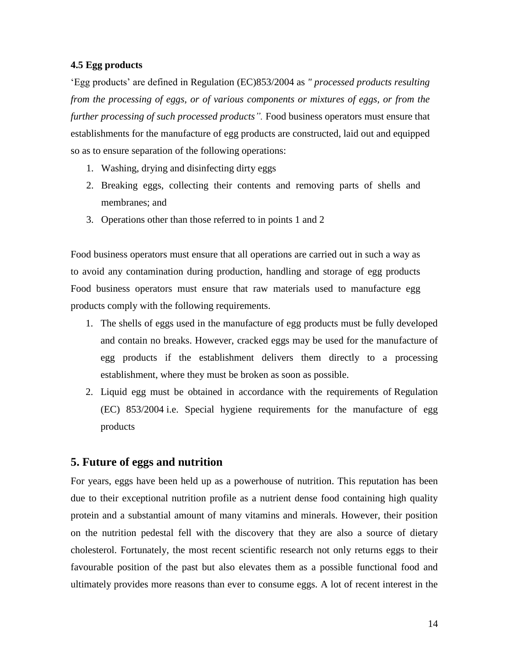#### **4.5 Egg products**

"Egg products" are defined in [Regulation \(EC\)853/2004](http://www.fsai.ie/uploadedFiles/Reg853_2004(2).pdf) as *" processed products resulting from the processing of eggs, or of various components or mixtures of eggs, or from the further processing of such processed products"*. Food business operators must ensure that establishments for the manufacture of egg products are constructed, laid out and equipped so as to ensure separation of the following operations:

- 1. Washing, drying and disinfecting dirty eggs
- 2. Breaking eggs, collecting their contents and removing parts of shells and membranes; and
- 3. Operations other than those referred to in points 1 and 2

Food business operators must ensure that all operations are carried out in such a way as to avoid any contamination during production, handling and storage of egg products Food business operators must ensure that raw materials used to manufacture egg products comply with the following requirements.

- 1. The shells of eggs used in the manufacture of egg products must be fully developed and contain no breaks. However, cracked eggs may be used for the manufacture of egg products if the establishment delivers them directly to a processing establishment, where they must be broken as soon as possible.
- 2. Liquid egg must be obtained in accordance with the requirements of [Regulation](http://www.fsai.ie/uploadedFiles/Reg853_2004(2).pdf)  [\(EC\) 853/2004](http://www.fsai.ie/uploadedFiles/Reg853_2004(2).pdf) i.e. Special hygiene requirements for the manufacture of egg products

# **5. Future of eggs and nutrition**

For years, eggs have been held up as a powerhouse of nutrition. This reputation has been due to their exceptional nutrition profile as a nutrient dense food containing high quality protein and a substantial amount of many vitamins and minerals. However, their position on the nutrition pedestal fell with the discovery that they are also a source of dietary cholesterol. Fortunately, the most recent scientific research not only returns eggs to their favourable position of the past but also elevates them as a possible functional food and ultimately provides more reasons than ever to consume eggs. A lot of recent interest in the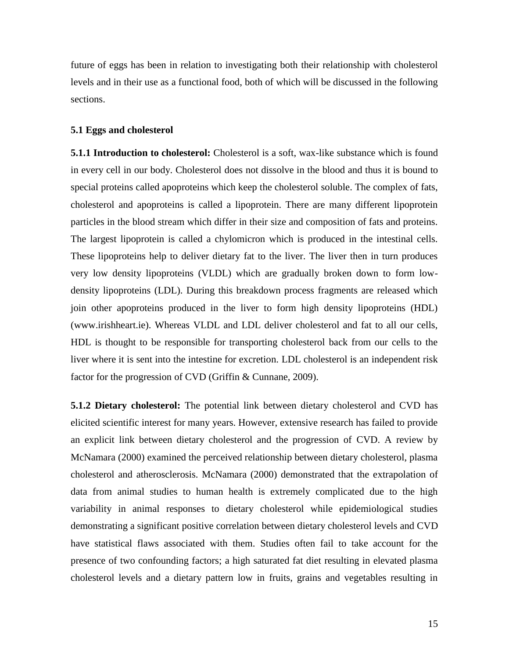future of eggs has been in relation to investigating both their relationship with cholesterol levels and in their use as a functional food, both of which will be discussed in the following sections.

#### **5.1 Eggs and cholesterol**

**5.1.1 Introduction to cholesterol:** Cholesterol is a soft, wax-like substance which is found in every cell in our body. Cholesterol does not dissolve in the blood and thus it is bound to special proteins called apoproteins which keep the cholesterol soluble. The complex of fats, cholesterol and apoproteins is called a lipoprotein. There are many different lipoprotein particles in the blood stream which differ in their size and composition of fats and proteins. The largest lipoprotein is called a chylomicron which is produced in the intestinal cells. These lipoproteins help to deliver dietary fat to the liver. The liver then in turn produces very low density lipoproteins (VLDL) which are gradually broken down to form lowdensity lipoproteins (LDL). During this breakdown process fragments are released which join other apoproteins produced in the liver to form high density lipoproteins (HDL) (www.irishheart.ie). Whereas VLDL and LDL deliver cholesterol and fat to all our cells, HDL is thought to be responsible for transporting cholesterol back from our cells to the liver where it is sent into the intestine for excretion. LDL cholesterol is an independent risk factor for the progression of CVD (Griffin & Cunnane, 2009).

**5.1.2 Dietary cholesterol:** The potential link between dietary cholesterol and CVD has elicited scientific interest for many years. However, extensive research has failed to provide an explicit link between dietary cholesterol and the progression of CVD. A review by McNamara (2000) examined the perceived relationship between dietary cholesterol, plasma cholesterol and atherosclerosis. McNamara (2000) demonstrated that the extrapolation of data from animal studies to human health is extremely complicated due to the high variability in animal responses to dietary cholesterol while epidemiological studies demonstrating a significant positive correlation between dietary cholesterol levels and CVD have statistical flaws associated with them. Studies often fail to take account for the presence of two confounding factors; a high saturated fat diet resulting in elevated plasma cholesterol levels and a dietary pattern low in fruits, grains and vegetables resulting in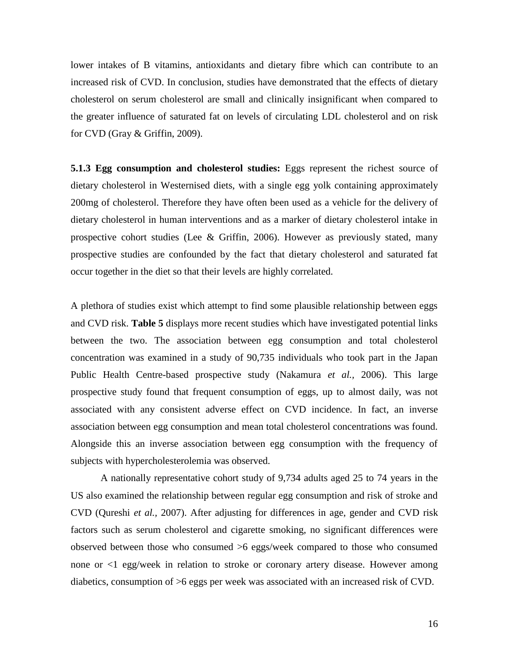lower intakes of B vitamins, antioxidants and dietary fibre which can contribute to an increased risk of CVD. In conclusion, studies have demonstrated that the effects of dietary cholesterol on serum cholesterol are small and clinically insignificant when compared to the greater influence of saturated fat on levels of circulating LDL cholesterol and on risk for CVD (Gray & Griffin, 2009).

**5.1.3 Egg consumption and cholesterol studies:** Eggs represent the richest source of dietary cholesterol in Westernised diets, with a single egg yolk containing approximately 200mg of cholesterol. Therefore they have often been used as a vehicle for the delivery of dietary cholesterol in human interventions and as a marker of dietary cholesterol intake in prospective cohort studies (Lee & Griffin, 2006). However as previously stated, many prospective studies are confounded by the fact that dietary cholesterol and saturated fat occur together in the diet so that their levels are highly correlated.

A plethora of studies exist which attempt to find some plausible relationship between eggs and CVD risk. **Table 5** displays more recent studies which have investigated potential links between the two. The association between egg consumption and total cholesterol concentration was examined in a study of 90,735 individuals who took part in the Japan Public Health Centre-based prospective study (Nakamura *et al.,* 2006). This large prospective study found that frequent consumption of eggs, up to almost daily, was not associated with any consistent adverse effect on CVD incidence. In fact, an inverse association between egg consumption and mean total cholesterol concentrations was found. Alongside this an inverse association between egg consumption with the frequency of subjects with hypercholesterolemia was observed.

A nationally representative cohort study of 9,734 adults aged 25 to 74 years in the US also examined the relationship between regular egg consumption and risk of stroke and CVD (Qureshi *et al.,* 2007). After adjusting for differences in age, gender and CVD risk factors such as serum cholesterol and cigarette smoking, no significant differences were observed between those who consumed >6 eggs/week compared to those who consumed none or <1 egg/week in relation to stroke or coronary artery disease. However among diabetics, consumption of >6 eggs per week was associated with an increased risk of CVD.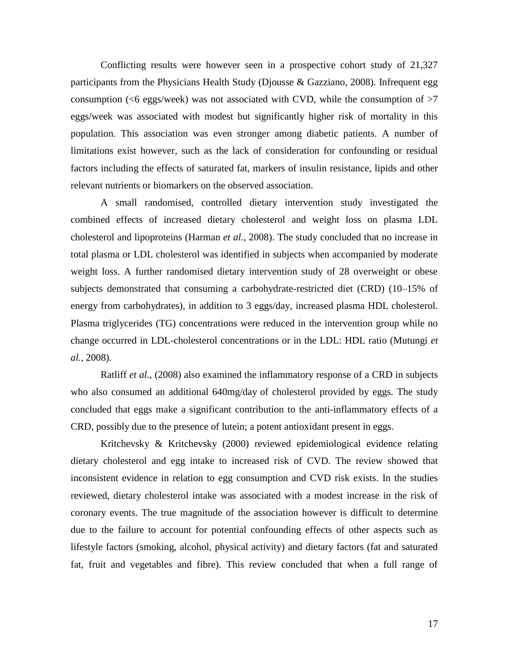Conflicting results were however seen in a prospective cohort study of 21,327 participants from the Physicians Health Study (Djousse & Gazziano, 2008). Infrequent egg consumption ( $\leq 6$  eggs/week) was not associated with CVD, while the consumption of  $>7$ eggs/week was associated with modest but significantly higher risk of mortality in this population. This association was even stronger among diabetic patients. A number of limitations exist however, such as the lack of consideration for confounding or residual factors including the effects of saturated fat, markers of insulin resistance, lipids and other relevant nutrients or biomarkers on the observed association.

A small randomised, controlled dietary intervention study investigated the combined effects of increased dietary cholesterol and weight loss on plasma LDL cholesterol and lipoproteins (Harman *et al.,* 2008). The study concluded that no increase in total plasma or LDL cholesterol was identified in subjects when accompanied by moderate weight loss. A further randomised dietary intervention study of 28 overweight or obese subjects demonstrated that consuming a carbohydrate-restricted diet (CRD) (10–15% of energy from carbohydrates), in addition to 3 eggs/day, increased plasma HDL cholesterol. Plasma triglycerides (TG) concentrations were reduced in the intervention group while no change occurred in LDL-cholesterol concentrations or in the LDL: HDL ratio (Mutungi *et al.,* 2008).

Ratliff *et al.,* (2008) also examined the inflammatory response of a CRD in subjects who also consumed an additional 640mg/day of cholesterol provided by eggs. The study concluded that eggs make a significant contribution to the anti-inflammatory effects of a CRD, possibly due to the presence of lutein; a potent antioxidant present in eggs.

Kritchevsky & Kritchevsky (2000) reviewed epidemiological evidence relating dietary cholesterol and egg intake to increased risk of CVD. The review showed that inconsistent evidence in relation to egg consumption and CVD risk exists. In the studies reviewed, dietary cholesterol intake was associated with a modest increase in the risk of coronary events. The true magnitude of the association however is difficult to determine due to the failure to account for potential confounding effects of other aspects such as lifestyle factors (smoking, alcohol, physical activity) and dietary factors (fat and saturated fat, fruit and vegetables and fibre). This review concluded that when a full range of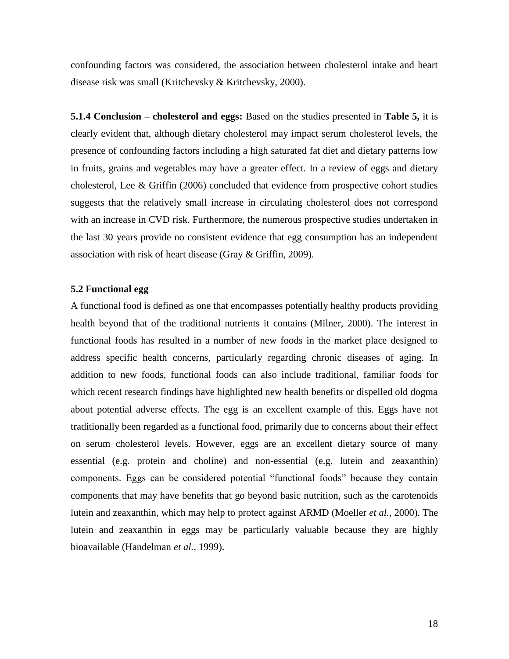confounding factors was considered, the association between cholesterol intake and heart disease risk was small (Kritchevsky & Kritchevsky, 2000).

**5.1.4 Conclusion – cholesterol and eggs:** Based on the studies presented in **Table 5,** it is clearly evident that, although dietary cholesterol may impact serum cholesterol levels, the presence of confounding factors including a high saturated fat diet and dietary patterns low in fruits, grains and vegetables may have a greater effect. In a review of eggs and dietary cholesterol, Lee & Griffin (2006) concluded that evidence from prospective cohort studies suggests that the relatively small increase in circulating cholesterol does not correspond with an increase in CVD risk. Furthermore, the numerous prospective studies undertaken in the last 30 years provide no consistent evidence that egg consumption has an independent association with risk of heart disease (Gray & Griffin, 2009).

#### **5.2 Functional egg**

A functional food is defined as one that encompasses potentially healthy products providing health beyond that of the traditional nutrients it contains (Milner, 2000). The interest in functional foods has resulted in a number of new foods in the market place designed to address specific health concerns, particularly regarding chronic diseases of aging. In addition to new foods, functional foods can also include traditional, familiar foods for which recent research findings have highlighted new health benefits or dispelled old dogma about potential adverse effects. The egg is an excellent example of this. Eggs have not traditionally been regarded as a functional food, primarily due to concerns about their effect on serum cholesterol levels. However, eggs are an excellent dietary source of many essential (e.g. protein and choline) and non-essential (e.g. lutein and zeaxanthin) components. Eggs can be considered potential "functional foods" because they contain components that may have benefits that go beyond basic nutrition, such as the carotenoids lutein and zeaxanthin, which may help to protect against ARMD (Moeller *et al.,* 2000). The lutein and zeaxanthin in eggs may be particularly valuable because they are highly bioavailable (Handelman *et al.,* 1999).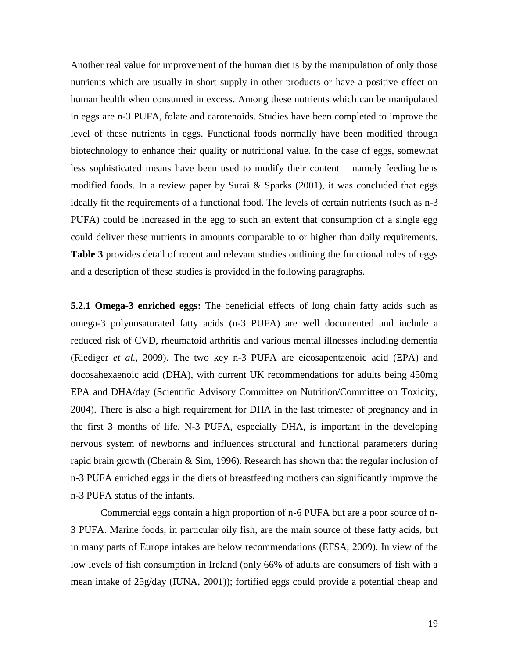Another real value for improvement of the human diet is by the manipulation of only those nutrients which are usually in short supply in other products or have a positive effect on human health when consumed in excess. Among these nutrients which can be manipulated in eggs are n-3 PUFA, folate and carotenoids. Studies have been completed to improve the level of these nutrients in eggs. Functional foods normally have been modified through biotechnology to enhance their quality or nutritional value. In the case of eggs, somewhat less sophisticated means have been used to modify their content – namely feeding hens modified foods. In a review paper by Surai & Sparks (2001), it was concluded that eggs ideally fit the requirements of a functional food. The levels of certain nutrients (such as n-3 PUFA) could be increased in the egg to such an extent that consumption of a single egg could deliver these nutrients in amounts comparable to or higher than daily requirements. **Table 3** provides detail of recent and relevant studies outlining the functional roles of eggs and a description of these studies is provided in the following paragraphs.

**5.2.1 Omega-3 enriched eggs:** The beneficial effects of long chain fatty acids such as omega-3 polyunsaturated fatty acids (n-3 PUFA) are well documented and include a reduced risk of CVD, rheumatoid arthritis and various mental illnesses including dementia (Riediger *et al.,* 2009). The two key n-3 PUFA are eicosapentaenoic acid (EPA) and docosahexaenoic acid (DHA), with current UK recommendations for adults being 450mg EPA and DHA/day (Scientific Advisory Committee on Nutrition/Committee on Toxicity, 2004). There is also a high requirement for DHA in the last trimester of pregnancy and in the first 3 months of life. N-3 PUFA, especially DHA, is important in the developing nervous system of newborns and influences structural and functional parameters during rapid brain growth (Cherain & Sim, 1996). Research has shown that the regular inclusion of n-3 PUFA enriched eggs in the diets of breastfeeding mothers can significantly improve the n-3 PUFA status of the infants.

Commercial eggs contain a high proportion of n-6 PUFA but are a poor source of n-3 PUFA. Marine foods, in particular oily fish, are the main source of these fatty acids, but in many parts of Europe intakes are below recommendations (EFSA, 2009). In view of the low levels of fish consumption in Ireland (only 66% of adults are consumers of fish with a mean intake of 25g/day (IUNA, 2001)); fortified eggs could provide a potential cheap and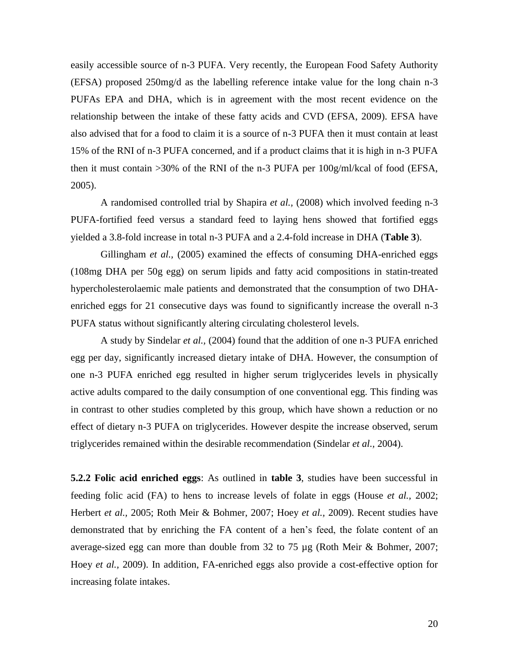easily accessible source of n-3 PUFA. Very recently, the European Food Safety Authority (EFSA) proposed 250mg/d as the labelling reference intake value for the long chain n-3 PUFAs EPA and DHA, which is in agreement with the most recent evidence on the relationship between the intake of these fatty acids and CVD (EFSA, 2009). EFSA have also advised that for a food to claim it is a source of n-3 PUFA then it must contain at least 15% of the RNI of n-3 PUFA concerned, and if a product claims that it is high in n-3 PUFA then it must contain >30% of the RNI of the n-3 PUFA per 100g/ml/kcal of food (EFSA, 2005).

A randomised controlled trial by Shapira *et al.,* (2008) which involved feeding n-3 PUFA-fortified feed versus a standard feed to laying hens showed that fortified eggs yielded a 3.8-fold increase in total n-3 PUFA and a 2.4-fold increase in DHA (**Table 3**).

Gillingham *et al.*, (2005) examined the effects of consuming DHA-enriched eggs (108mg DHA per 50g egg) on serum lipids and fatty acid compositions in statin-treated hypercholesterolaemic male patients and demonstrated that the consumption of two DHAenriched eggs for 21 consecutive days was found to significantly increase the overall n-3 PUFA status without significantly altering circulating cholesterol levels.

A study by Sindelar *et al.,* (2004) found that the addition of one n-3 PUFA enriched egg per day, significantly increased dietary intake of DHA. However, the consumption of one n-3 PUFA enriched egg resulted in higher serum triglycerides levels in physically active adults compared to the daily consumption of one conventional egg. This finding was in contrast to other studies completed by this group, which have shown a reduction or no effect of dietary n-3 PUFA on triglycerides. However despite the increase observed, serum triglycerides remained within the desirable recommendation (Sindelar *et al.,* 2004).

**5.2.2 Folic acid enriched eggs**: As outlined in **table 3**, studies have been successful in feeding folic acid (FA) to hens to increase levels of folate in eggs (House *et al.,* 2002; Herbert *et al.,* 2005; Roth Meir & Bohmer, 2007; Hoey *et al.,* 2009). Recent studies have demonstrated that by enriching the FA content of a hen"s feed, the folate content of an average-sized egg can more than double from 32 to 75 µg (Roth Meir & Bohmer, 2007; Hoey *et al.,* 2009). In addition, FA-enriched eggs also provide a cost-effective option for increasing folate intakes.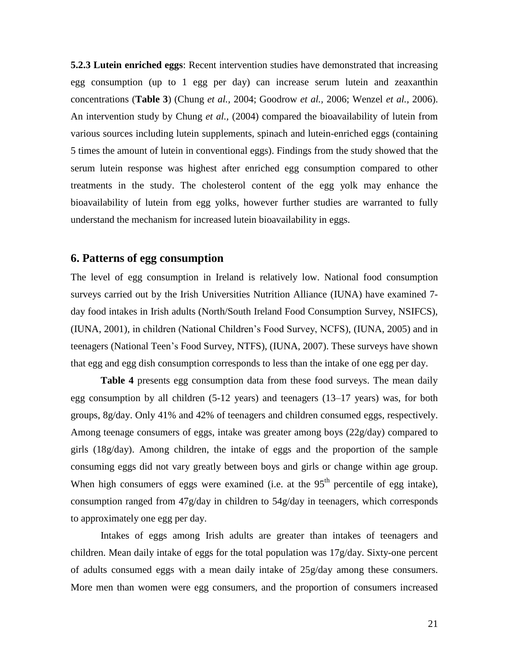**5.2.3 Lutein enriched eggs**: Recent intervention studies have demonstrated that increasing egg consumption (up to 1 egg per day) can increase serum lutein and zeaxanthin concentrations (**Table 3**) (Chung *et al.,* 2004; Goodrow *et al.,* 2006; Wenzel *et al.,* 2006). An intervention study by Chung *et al.,* (2004) compared the bioavailability of lutein from various sources including lutein supplements, spinach and lutein-enriched eggs (containing 5 times the amount of lutein in conventional eggs). Findings from the study showed that the serum lutein response was highest after enriched egg consumption compared to other treatments in the study. The cholesterol content of the egg yolk may enhance the bioavailability of lutein from egg yolks, however further studies are warranted to fully understand the mechanism for increased lutein bioavailability in eggs.

# **6. Patterns of egg consumption**

The level of egg consumption in Ireland is relatively low. National food consumption surveys carried out by the Irish Universities Nutrition Alliance (IUNA) have examined 7 day food intakes in Irish adults (North/South Ireland Food Consumption Survey, NSIFCS), (IUNA, 2001), in children (National Children"s Food Survey, NCFS), (IUNA, 2005) and in teenagers (National Teen"s Food Survey, NTFS), (IUNA, 2007). These surveys have shown that egg and egg dish consumption corresponds to less than the intake of one egg per day.

**Table 4** presents egg consumption data from these food surveys. The mean daily egg consumption by all children (5-12 years) and teenagers (13–17 years) was, for both groups, 8g/day. Only 41% and 42% of teenagers and children consumed eggs, respectively. Among teenage consumers of eggs, intake was greater among boys (22g/day) compared to girls (18g/day). Among children, the intake of eggs and the proportion of the sample consuming eggs did not vary greatly between boys and girls or change within age group. When high consumers of eggs were examined (i.e. at the  $95<sup>th</sup>$  percentile of egg intake), consumption ranged from 47g/day in children to 54g/day in teenagers, which corresponds to approximately one egg per day.

Intakes of eggs among Irish adults are greater than intakes of teenagers and children. Mean daily intake of eggs for the total population was 17g/day. Sixty-one percent of adults consumed eggs with a mean daily intake of 25g/day among these consumers. More men than women were egg consumers, and the proportion of consumers increased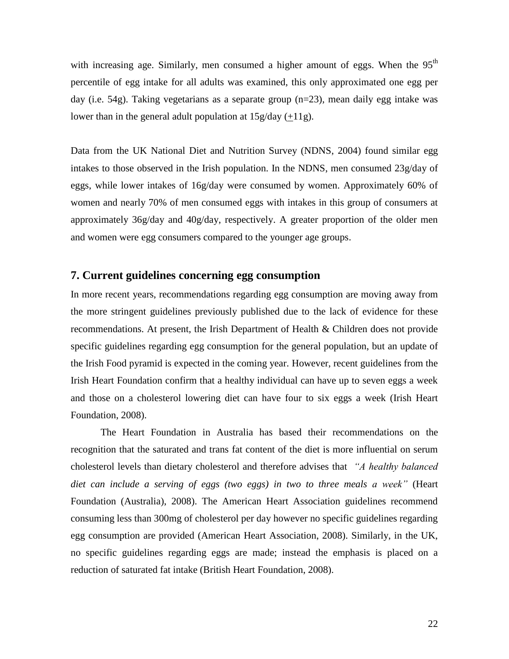with increasing age. Similarly, men consumed a higher amount of eggs. When the  $95<sup>th</sup>$ percentile of egg intake for all adults was examined, this only approximated one egg per day (i.e. 54g). Taking vegetarians as a separate group (n=23), mean daily egg intake was lower than in the general adult population at  $15g/day (+11g)$ .

Data from the UK National Diet and Nutrition Survey (NDNS, 2004) found similar egg intakes to those observed in the Irish population. In the NDNS, men consumed 23g/day of eggs, while lower intakes of 16g/day were consumed by women. Approximately 60% of women and nearly 70% of men consumed eggs with intakes in this group of consumers at approximately 36g/day and 40g/day, respectively. A greater proportion of the older men and women were egg consumers compared to the younger age groups.

## **7. Current guidelines concerning egg consumption**

In more recent years, recommendations regarding egg consumption are moving away from the more stringent guidelines previously published due to the lack of evidence for these recommendations. At present, the Irish Department of Health & Children does not provide specific guidelines regarding egg consumption for the general population, but an update of the Irish Food pyramid is expected in the coming year. However, recent guidelines from the Irish Heart Foundation confirm that a healthy individual can have up to seven eggs a week and those on a cholesterol lowering diet can have four to six eggs a week (Irish Heart Foundation, 2008).

The Heart Foundation in Australia has based their recommendations on the recognition that the saturated and trans fat content of the diet is more influential on serum cholesterol levels than dietary cholesterol and therefore advises that *"A healthy balanced diet can include a serving of eggs (two eggs) in two to three meals a week"* (Heart Foundation (Australia), 2008). The American Heart Association guidelines recommend consuming less than 300mg of cholesterol per day however no specific guidelines regarding egg consumption are provided (American Heart Association, 2008). Similarly, in the UK, no specific guidelines regarding eggs are made; instead the emphasis is placed on a reduction of saturated fat intake (British Heart Foundation, 2008).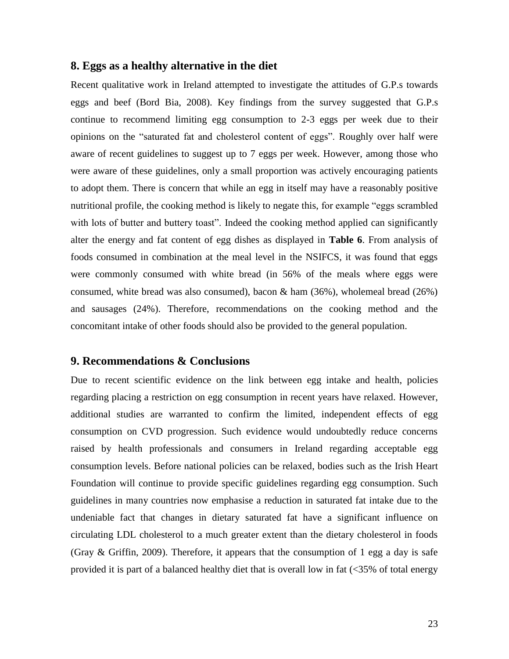## **8. Eggs as a healthy alternative in the diet**

Recent qualitative work in Ireland attempted to investigate the attitudes of G.P.s towards eggs and beef (Bord Bia, 2008). Key findings from the survey suggested that G.P.s continue to recommend limiting egg consumption to 2-3 eggs per week due to their opinions on the "saturated fat and cholesterol content of eggs". Roughly over half were aware of recent guidelines to suggest up to 7 eggs per week. However, among those who were aware of these guidelines, only a small proportion was actively encouraging patients to adopt them. There is concern that while an egg in itself may have a reasonably positive nutritional profile, the cooking method is likely to negate this, for example "eggs scrambled with lots of butter and buttery toast". Indeed the cooking method applied can significantly alter the energy and fat content of egg dishes as displayed in **Table 6**. From analysis of foods consumed in combination at the meal level in the NSIFCS, it was found that eggs were commonly consumed with white bread (in 56% of the meals where eggs were consumed, white bread was also consumed), bacon  $\&$  ham (36%), wholemeal bread (26%) and sausages (24%). Therefore, recommendations on the cooking method and the concomitant intake of other foods should also be provided to the general population.

## **9. Recommendations & Conclusions**

Due to recent scientific evidence on the link between egg intake and health, policies regarding placing a restriction on egg consumption in recent years have relaxed. However, additional studies are warranted to confirm the limited, independent effects of egg consumption on CVD progression. Such evidence would undoubtedly reduce concerns raised by health professionals and consumers in Ireland regarding acceptable egg consumption levels. Before national policies can be relaxed, bodies such as the Irish Heart Foundation will continue to provide specific guidelines regarding egg consumption. Such guidelines in many countries now emphasise a reduction in saturated fat intake due to the undeniable fact that changes in dietary saturated fat have a significant influence on circulating LDL cholesterol to a much greater extent than the dietary cholesterol in foods (Gray & Griffin, 2009). Therefore, it appears that the consumption of 1 egg a day is safe provided it is part of a balanced healthy diet that is overall low in fat (<35% of total energy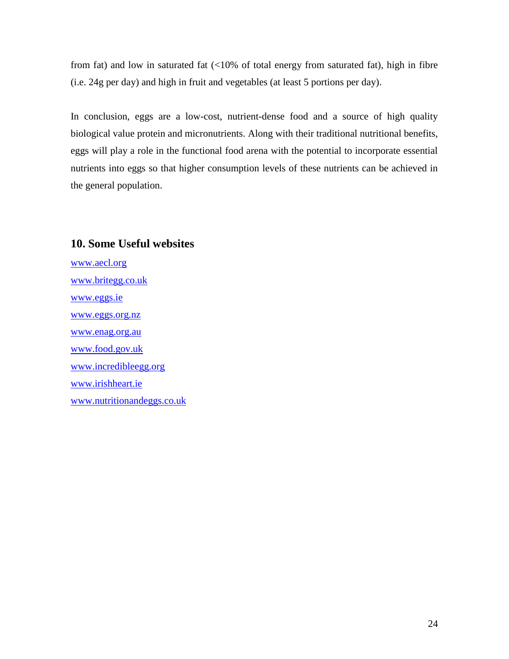from fat) and low in saturated fat (<10% of total energy from saturated fat), high in fibre (i.e. 24g per day) and high in fruit and vegetables (at least 5 portions per day).

In conclusion, eggs are a low-cost, nutrient-dense food and a source of high quality biological value protein and micronutrients. Along with their traditional nutritional benefits, eggs will play a role in the functional food arena with the potential to incorporate essential nutrients into eggs so that higher consumption levels of these nutrients can be achieved in the general population.

# **10. Some Useful websites**

[www.aecl.org](http://www.aecl.org/) [www.britegg.co.uk](http://www.britegg.co.uk/) [www.eggs.ie](http://www.eggs.ie/) [www.eggs.org.nz](http://www.eggs.org.nz/) [www.enag.org.au](http://www.enag.org.au/) [www.food.gov.uk](http://www.food.gov.uk/) [www.incredibleegg.org](http://www.incredibleegg.org/) [www.irishheart.ie](http://www.irishheart.ie/) [www.nutritionandeggs.co.uk](http://www.nutritionandeggs.co.uk/)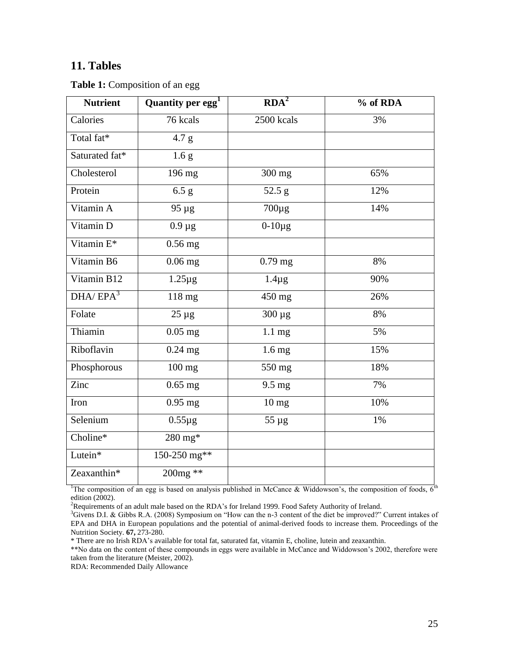# **11. Tables**

**Table 1:** Composition of an egg

| <b>Nutrient</b>       | Quantity per egg <sup>1</sup> | RDA <sup>2</sup> | % of RDA |
|-----------------------|-------------------------------|------------------|----------|
| Calories              | 76 kcals                      | 2500 kcals       | 3%       |
| Total fat*            | 4.7 g                         |                  |          |
| Saturated fat*        | 1.6 <sub>g</sub>              |                  |          |
| Cholesterol           | 196 mg                        | 300 mg           | 65%      |
| Protein               | 6.5 g                         | 52.5 g           | 12%      |
| Vitamin A             | $95 \mu g$                    | $700\mu g$       | 14%      |
| Vitamin D             | $0.9 \mu g$                   | $0-10\mu g$      |          |
| Vitamin E*            | $0.56$ mg                     |                  |          |
| Vitamin B6            | $0.06$ mg                     | $0.79$ mg        | 8%       |
| Vitamin B12           | $1.25 \mu g$                  | $1.4\mu$ g       | 90%      |
| DHA/ EPA <sup>3</sup> | 118 mg                        | 450 mg           | 26%      |
| Folate                | $25 \mu g$                    | $300 \mu g$      | 8%       |
| Thiamin               | $0.05$ mg                     | $1.1 \text{ mg}$ | 5%       |
| Riboflavin            | $0.24$ mg                     | $1.6 \text{ mg}$ | 15%      |
| Phosphorous           | $100$ mg                      | 550 mg           | 18%      |
| Zinc                  | $0.65$ mg                     | $9.5 \text{ mg}$ | 7%       |
| Iron                  | $0.95$ mg                     | $10 \text{ mg}$  | 10%      |
| Selenium              | $0.55 \mu g$                  | $55 \mu g$       | 1%       |
| Choline*              | $280 \text{ mg*}$             |                  |          |
| Lutein*               | 150-250 mg**                  |                  |          |
| Zeaxanthin*           | $200mg$ **                    |                  |          |

<sup>1</sup>The composition of an egg is based on analysis published in McCance & Widdowson's, the composition of foods,  $6<sup>th</sup>$ edition (2002).

<sup>2</sup>Requirements of an adult male based on the RDA's for Ireland 1999. Food Safety Authority of Ireland.

<sup>3</sup>Givens D.I. & Gibbs R.A. (2008) Symposium on "How can the n-3 content of the diet be improved?" Current intakes of EPA and DHA in European populations and the potential of animal-derived foods to increase them. Proceedings of the Nutrition Society. **67,** 273-280.

\* There are no Irish RDA"s available for total fat, saturated fat, vitamin E, choline, lutein and zeaxanthin.

\*\*No data on the content of these compounds in eggs were available in McCance and Widdowson's 2002, therefore were taken from the literature (Meister, 2002).

RDA: Recommended Daily Allowance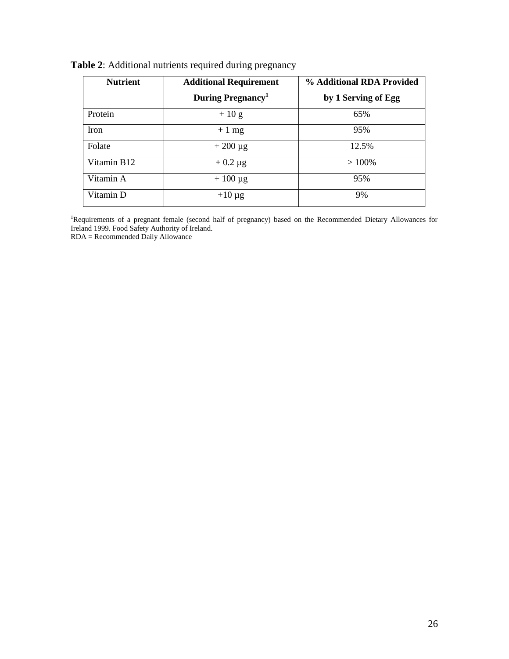| <b>Nutrient</b>         | <b>Additional Requirement</b> | % Additional RDA Provided |
|-------------------------|-------------------------------|---------------------------|
|                         | During Pregnancy <sup>1</sup> | by 1 Serving of Egg       |
| Protein                 | $+10$ g                       | 65%                       |
| Iron                    | $+1$ mg                       | 95%                       |
| Folate                  | $+200 \mu g$                  | 12.5%                     |
| Vitamin B <sub>12</sub> | $+0.2 \mu$ g                  | $>100\%$                  |
| Vitamin A               | $+100 \mu g$                  | 95%                       |
| Vitamin D               | $+10 \mu g$                   | 9%                        |

**Table 2**: Additional nutrients required during pregnancy

<sup>1</sup>Requirements of a pregnant female (second half of pregnancy) based on the Recommended Dietary Allowances for Ireland 1999. Food Safety Authority of Ireland.

RDA = Recommended Daily Allowance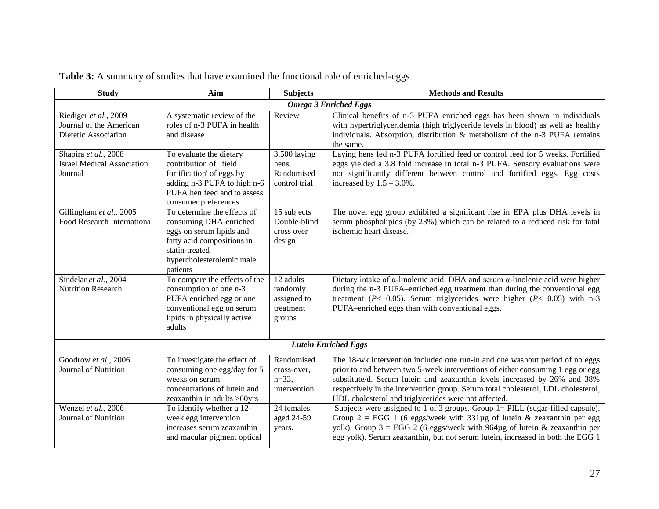| <b>Study</b>                                                                                | Aim                                                                                                                                                                                                                                                                | <b>Subjects</b>                                                                              | <b>Methods and Results</b>                                                                                                                                                                                                                                                                                                                                                                                                                                                                                                                                                                                                                                                                                                 |  |  |  |  |  |
|---------------------------------------------------------------------------------------------|--------------------------------------------------------------------------------------------------------------------------------------------------------------------------------------------------------------------------------------------------------------------|----------------------------------------------------------------------------------------------|----------------------------------------------------------------------------------------------------------------------------------------------------------------------------------------------------------------------------------------------------------------------------------------------------------------------------------------------------------------------------------------------------------------------------------------------------------------------------------------------------------------------------------------------------------------------------------------------------------------------------------------------------------------------------------------------------------------------------|--|--|--|--|--|
| <b>Omega 3 Enriched Eggs</b>                                                                |                                                                                                                                                                                                                                                                    |                                                                                              |                                                                                                                                                                                                                                                                                                                                                                                                                                                                                                                                                                                                                                                                                                                            |  |  |  |  |  |
| Riediger et al., 2009<br>Journal of the American<br>Dietetic Association                    | A systematic review of the<br>roles of n-3 PUFA in health<br>and disease                                                                                                                                                                                           | Review                                                                                       | Clinical benefits of n-3 PUFA enriched eggs has been shown in individuals<br>with hypertriglyceridemia (high triglyceride levels in blood) as well as healthy<br>individuals. Absorption, distribution & metabolism of the n-3 PUFA remains<br>the same.                                                                                                                                                                                                                                                                                                                                                                                                                                                                   |  |  |  |  |  |
| Shapira et al., 2008<br><b>Israel Medical Association</b><br>Journal                        | To evaluate the dietary<br>contribution of 'field<br>fortification' of eggs by<br>adding n-3 PUFA to high n-6<br>PUFA hen feed and to assess<br>consumer preferences                                                                                               | 3,500 laying<br>hens.<br>Randomised<br>control trial                                         | Laying hens fed n-3 PUFA fortified feed or control feed for 5 weeks. Fortified<br>eggs yielded a 3.8 fold increase in total n-3 PUFA. Sensory evaluations were<br>not significantly different between control and fortified eggs. Egg costs<br>increased by $1.5 - 3.0\%$ .                                                                                                                                                                                                                                                                                                                                                                                                                                                |  |  |  |  |  |
| Gillingham et al., 2005<br><b>Food Research International</b>                               | To determine the effects of<br>consuming DHA-enriched<br>eggs on serum lipids and<br>fatty acid compositions in<br>statin-treated<br>hypercholesterolemic male<br>patients                                                                                         | 15 subjects<br>Double-blind<br>cross over<br>design                                          | The novel egg group exhibited a significant rise in EPA plus DHA levels in<br>serum phospholipids (by 23%) which can be related to a reduced risk for fatal<br>ischemic heart disease.                                                                                                                                                                                                                                                                                                                                                                                                                                                                                                                                     |  |  |  |  |  |
| Sindelar et al., 2004<br><b>Nutrition Research</b>                                          | To compare the effects of the<br>consumption of one n-3<br>PUFA enriched egg or one<br>conventional egg on serum<br>lipids in physically active<br>adults                                                                                                          | 12 adults<br>randomly<br>assigned to<br>treatment<br>groups                                  | Dietary intake of $\alpha$ -linolenic acid, DHA and serum $\alpha$ -linolenic acid were higher<br>during the n-3 PUFA-enriched egg treatment than during the conventional egg<br>treatment ( $P < 0.05$ ). Serum triglycerides were higher ( $P < 0.05$ ) with n-3<br>PUFA-enriched eggs than with conventional eggs.                                                                                                                                                                                                                                                                                                                                                                                                      |  |  |  |  |  |
|                                                                                             |                                                                                                                                                                                                                                                                    |                                                                                              | <b>Lutein Enriched Eggs</b>                                                                                                                                                                                                                                                                                                                                                                                                                                                                                                                                                                                                                                                                                                |  |  |  |  |  |
| Goodrow et al., 2006<br>Journal of Nutrition<br>Wenzel et al., 2006<br>Journal of Nutrition | To investigate the effect of<br>consuming one egg/day for 5<br>weeks on serum<br>concentrations of lutein and<br>zeaxanthin in adults $>60$ yrs<br>To identify whether a 12-<br>week egg intervention<br>increases serum zeaxanthin<br>and macular pigment optical | Randomised<br>cross-over,<br>$n=33$ ,<br>intervention<br>24 females,<br>aged 24-59<br>years. | The 18-wk intervention included one run-in and one washout period of no eggs<br>prior to and between two 5-week interventions of either consuming 1 egg or egg<br>substitute/d. Serum lutein and zeaxanthin levels increased by 26% and 38%<br>respectively in the intervention group. Serum total cholesterol, LDL cholesterol,<br>HDL cholesterol and triglycerides were not affected.<br>Subjects were assigned to 1 of 3 groups. Group $1 = PILL$ (sugar-filled capsule).<br>Group $2 = EGG$ 1 (6 eggs/week with 331µg of lutein & zeaxanthin per egg<br>yolk). Group $3 = EGG$ 2 (6 eggs/week with 964µg of lutein & zeaxanthin per<br>egg yolk). Serum zeaxanthin, but not serum lutein, increased in both the EGG 1 |  |  |  |  |  |

|  |  |  |  | Table 3: A summary of studies that have examined the functional role of enriched-eggs |
|--|--|--|--|---------------------------------------------------------------------------------------|
|--|--|--|--|---------------------------------------------------------------------------------------|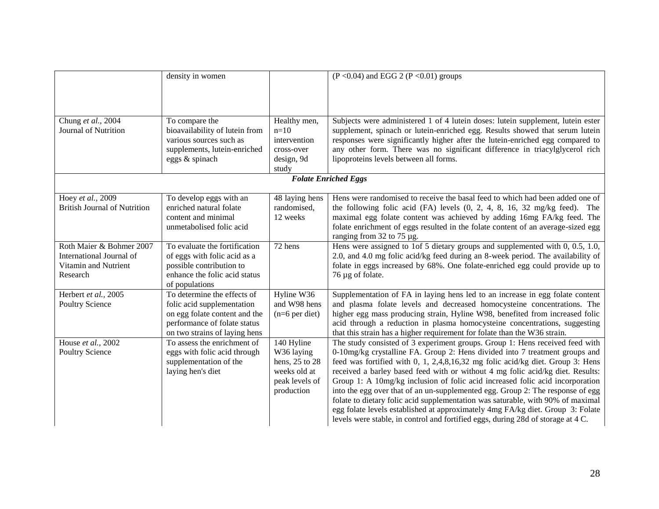|                                                                                          | density in women                                                                                                                                            |                                                                                            | $(P < 0.04)$ and EGG 2 (P < 0.01) groups                                                                                                                                                                                                                                                                                                                                                                                                                                                                                                                                                                                                                                                                                                                    |
|------------------------------------------------------------------------------------------|-------------------------------------------------------------------------------------------------------------------------------------------------------------|--------------------------------------------------------------------------------------------|-------------------------------------------------------------------------------------------------------------------------------------------------------------------------------------------------------------------------------------------------------------------------------------------------------------------------------------------------------------------------------------------------------------------------------------------------------------------------------------------------------------------------------------------------------------------------------------------------------------------------------------------------------------------------------------------------------------------------------------------------------------|
|                                                                                          |                                                                                                                                                             |                                                                                            |                                                                                                                                                                                                                                                                                                                                                                                                                                                                                                                                                                                                                                                                                                                                                             |
| Chung et al., 2004<br>Journal of Nutrition                                               | To compare the<br>bioavailability of lutein from<br>various sources such as<br>supplements, lutein-enriched<br>eggs & spinach                               | Healthy men,<br>$n=10$<br>intervention<br>cross-over<br>design, 9d<br>study                | Subjects were administered 1 of 4 lutein doses: lutein supplement, lutein ester<br>supplement, spinach or lutein-enriched egg. Results showed that serum lutein<br>responses were significantly higher after the lutein-enriched egg compared to<br>any other form. There was no significant difference in triacylglycerol rich<br>lipoproteins levels between all forms.<br><b>Folate Enriched Eggs</b>                                                                                                                                                                                                                                                                                                                                                    |
|                                                                                          |                                                                                                                                                             |                                                                                            |                                                                                                                                                                                                                                                                                                                                                                                                                                                                                                                                                                                                                                                                                                                                                             |
| Hoey et al., 2009<br><b>British Journal of Nutrition</b>                                 | To develop eggs with an<br>enriched natural folate<br>content and minimal<br>unmetabolised folic acid                                                       | 48 laying hens<br>randomised,<br>12 weeks                                                  | Hens were randomised to receive the basal feed to which had been added one of<br>the following folic acid $(FA)$ levels $(0, 2, 4, 8, 16, 32 \text{ mg/kg}$ feed). The<br>maximal egg folate content was achieved by adding 16mg FA/kg feed. The<br>folate enrichment of eggs resulted in the folate content of an average-sized egg<br>ranging from 32 to 75 µg.                                                                                                                                                                                                                                                                                                                                                                                           |
| Roth Maier & Bohmer 2007<br>International Journal of<br>Vitamin and Nutrient<br>Research | To evaluate the fortification<br>of eggs with folic acid as a<br>possible contribution to<br>enhance the folic acid status<br>of populations                | 72 hens                                                                                    | Hens were assigned to 1of 5 dietary groups and supplemented with $0$ , $0.5$ , $1.0$ ,<br>2.0, and 4.0 mg folic acid/kg feed during an 8-week period. The availability of<br>folate in eggs increased by 68%. One folate-enriched egg could provide up to<br>76 µg of folate.                                                                                                                                                                                                                                                                                                                                                                                                                                                                               |
| Herbert et al., 2005<br><b>Poultry Science</b>                                           | To determine the effects of<br>folic acid supplementation<br>on egg folate content and the<br>performance of folate status<br>on two strains of laying hens | Hyline W36<br>and W98 hens<br>$(n=6$ per diet)                                             | Supplementation of FA in laying hens led to an increase in egg folate content<br>and plasma folate levels and decreased homocysteine concentrations. The<br>higher egg mass producing strain, Hyline W98, benefited from increased folic<br>acid through a reduction in plasma homocysteine concentrations, suggesting<br>that this strain has a higher requirement for folate than the W36 strain.                                                                                                                                                                                                                                                                                                                                                         |
| House et al., 2002<br>Poultry Science                                                    | To assess the enrichment of<br>eggs with folic acid through<br>supplementation of the<br>laying hen's diet                                                  | 140 Hyline<br>W36 laying<br>hens, 25 to 28<br>weeks old at<br>peak levels of<br>production | The study consisted of 3 experiment groups. Group 1: Hens received feed with<br>0-10mg/kg crystalline FA. Group 2: Hens divided into 7 treatment groups and<br>feed was fortified with 0, 1, 2,4,8,16,32 mg folic acid/kg diet. Group 3: Hens<br>received a barley based feed with or without 4 mg folic acid/kg diet. Results:<br>Group 1: A 10mg/kg inclusion of folic acid increased folic acid incorporation<br>into the egg over that of an un-supplemented egg. Group 2: The response of egg<br>folate to dietary folic acid supplementation was saturable, with 90% of maximal<br>egg folate levels established at approximately 4mg FA/kg diet. Group 3: Folate<br>levels were stable, in control and fortified eggs, during 28d of storage at 4 C. |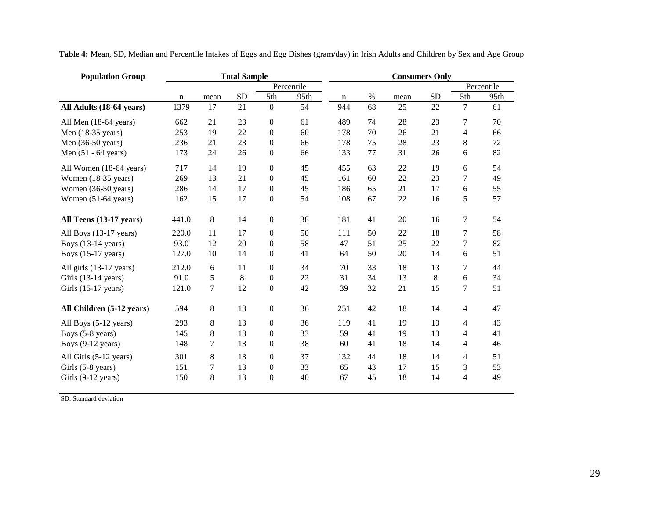| <b>Population Group</b>      |       |                  | <b>Total Sample</b> |                  |            |             |      |      | <b>Consumers Only</b> |                |            |
|------------------------------|-------|------------------|---------------------|------------------|------------|-------------|------|------|-----------------------|----------------|------------|
|                              |       |                  |                     |                  | Percentile |             |      |      |                       |                | Percentile |
|                              | n     | mean             | <b>SD</b>           | 5th              | 95th       | $\mathbf n$ | $\%$ | mean | <b>SD</b>             | 5th            | 95th       |
| All Adults (18-64 years)     | 1379  | 17               | 21                  | $\mathbf{0}$     | 54         | 944         | 68   | 25   | 22                    | 7              | 61         |
| All Men (18-64 years)        | 662   | 21               | 23                  | $\boldsymbol{0}$ | 61         | 489         | 74   | 28   | 23                    | 7              | 70         |
| Men (18-35 years)            | 253   | 19               | 22                  | $\overline{0}$   | 60         | 178         | 70   | 26   | 21                    | 4              | 66         |
| Men $(36-50 \text{ years})$  | 236   | 21               | 23                  | $\overline{0}$   | 66         | 178         | 75   | 28   | 23                    | 8              | 72         |
| Men $(51 - 64$ years)        | 173   | 24               | 26                  | $\boldsymbol{0}$ | 66         | 133         | 77   | 31   | 26                    | 6              | 82         |
| All Women (18-64 years)      | 717   | 14               | 19                  | $\boldsymbol{0}$ | 45         | 455         | 63   | 22   | 19                    | 6              | 54         |
| Women (18-35 years)          | 269   | 13               | 21                  | $\boldsymbol{0}$ | 45         | 161         | 60   | 22   | 23                    | 7              | 49         |
| Women (36-50 years)          | 286   | 14               | 17                  | $\boldsymbol{0}$ | 45         | 186         | 65   | 21   | 17                    | 6              | 55         |
| Women (51-64 years)          | 162   | 15               | 17                  | $\boldsymbol{0}$ | 54         | 108         | 67   | 22   | 16                    | 5              | 57         |
| All Teens (13-17 years)      | 441.0 | 8                | 14                  | $\boldsymbol{0}$ | 38         | 181         | 41   | 20   | 16                    | 7              | 54         |
| All Boys (13-17 years)       | 220.0 | 11               | 17                  | $\boldsymbol{0}$ | 50         | 111         | 50   | 22   | 18                    | 7              | 58         |
| Boys $(13-14 \text{ years})$ | 93.0  | 12               | 20                  | $\overline{0}$   | 58         | 47          | 51   | 25   | 22                    | 7              | 82         |
| Boys (15-17 years)           | 127.0 | 10               | 14                  | $\boldsymbol{0}$ | 41         | 64          | 50   | 20   | 14                    | 6              | 51         |
| All girls (13-17 years)      | 212.0 | 6                | 11                  | $\boldsymbol{0}$ | 34         | 70          | 33   | 18   | 13                    | 7              | 44         |
| Girls (13-14 years)          | 91.0  | 5                | 8                   | $\boldsymbol{0}$ | $22\,$     | 31          | 34   | 13   | 8                     | 6              | 34         |
| Girls (15-17 years)          | 121.0 | $\boldsymbol{7}$ | 12                  | $\boldsymbol{0}$ | 42         | 39          | 32   | 21   | 15                    | 7              | 51         |
| All Children (5-12 years)    | 594   | 8                | 13                  | $\boldsymbol{0}$ | 36         | 251         | 42   | 18   | 14                    | 4              | 47         |
| All Boys (5-12 years)        | 293   | 8                | 13                  | $\boldsymbol{0}$ | 36         | 119         | 41   | 19   | 13                    | 4              | 43         |
| Boys (5-8 years)             | 145   | $\,8\,$          | 13                  | $\boldsymbol{0}$ | 33         | 59          | 41   | 19   | 13                    | 4              | 41         |
| Boys $(9-12 \text{ years})$  | 148   | 7                | 13                  | $\boldsymbol{0}$ | 38         | 60          | 41   | 18   | 14                    | 4              | 46         |
| All Girls (5-12 years)       | 301   | 8                | 13                  | $\boldsymbol{0}$ | 37         | 132         | 44   | 18   | 14                    | 4              | 51         |
| Girls (5-8 years)            | 151   | 7                | 13                  | 0                | 33         | 65          | 43   | 17   | 15                    | 3              | 53         |
| Girls (9-12 years)           | 150   | 8                | 13                  | $\overline{0}$   | 40         | 67          | 45   | 18   | 14                    | $\overline{4}$ | 49         |

**Table 4:** Mean, SD, Median and Percentile Intakes of Eggs and Egg Dishes (gram/day) in Irish Adults and Children by Sex and Age Group

SD: Standard deviation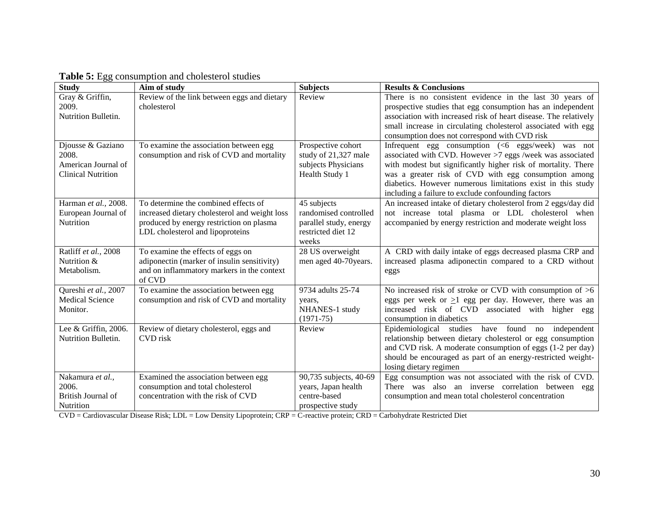| <b>Study</b>                                                                   | Aim of study                                                                                                                                                          | <b>Subjects</b>                                                                               | <b>Results &amp; Conclusions</b>                                                                                                                                                                                                                                                                                                                                 |
|--------------------------------------------------------------------------------|-----------------------------------------------------------------------------------------------------------------------------------------------------------------------|-----------------------------------------------------------------------------------------------|------------------------------------------------------------------------------------------------------------------------------------------------------------------------------------------------------------------------------------------------------------------------------------------------------------------------------------------------------------------|
| Gray & Griffin,<br>2009.<br>Nutrition Bulletin.                                | Review of the link between eggs and dietary<br>cholesterol                                                                                                            | Review                                                                                        | There is no consistent evidence in the last 30 years of<br>prospective studies that egg consumption has an independent<br>association with increased risk of heart disease. The relatively<br>small increase in circulating cholesterol associated with egg<br>consumption does not correspond with CVD risk                                                     |
| Djousse & Gaziano<br>2008.<br>American Journal of<br><b>Clinical Nutrition</b> | To examine the association between egg<br>consumption and risk of CVD and mortality                                                                                   | Prospective cohort<br>study of 21,327 male<br>subjects Physicians<br>Health Study 1           | Infrequent egg consumption $(6 eggs/week)$<br>was not<br>associated with CVD. However >7 eggs /week was associated<br>with modest but significantly higher risk of mortality. There<br>was a greater risk of CVD with egg consumption among<br>diabetics. However numerous limitations exist in this study<br>including a failure to exclude confounding factors |
| Harman et al., 2008.<br>European Journal of<br>Nutrition                       | To determine the combined effects of<br>increased dietary cholesterol and weight loss<br>produced by energy restriction on plasma<br>LDL cholesterol and lipoproteins | 45 subjects<br>randomised controlled<br>parallel study, energy<br>restricted diet 12<br>weeks | An increased intake of dietary cholesterol from 2 eggs/day did<br>not increase total plasma or LDL cholesterol when<br>accompanied by energy restriction and moderate weight loss                                                                                                                                                                                |
| Ratliff et al., 2008<br>Nutrition &<br>Metabolism.                             | To examine the effects of eggs on<br>adiponectin (marker of insulin sensitivity)<br>and on inflammatory markers in the context<br>of CVD                              | 28 US overweight<br>men aged 40-70 years.                                                     | A CRD with daily intake of eggs decreased plasma CRP and<br>increased plasma adiponectin compared to a CRD without<br>eggs                                                                                                                                                                                                                                       |
| Qureshi et al., 2007<br><b>Medical Science</b><br>Monitor.                     | To examine the association between egg<br>consumption and risk of CVD and mortality                                                                                   | 9734 adults 25-74<br>years,<br>NHANES-1 study<br>$(1971 - 75)$                                | No increased risk of stroke or CVD with consumption of $>6$<br>eggs per week or $\geq 1$ egg per day. However, there was an<br>increased risk of CVD associated with higher egg<br>consumption in diabetics                                                                                                                                                      |
| Lee & Griffin, 2006.<br>Nutrition Bulletin.                                    | Review of dietary cholesterol, eggs and<br>CVD risk                                                                                                                   | Review                                                                                        | Epidemiological studies have found no<br>independent<br>relationship between dietary cholesterol or egg consumption<br>and CVD risk. A moderate consumption of eggs (1-2 per day)<br>should be encouraged as part of an energy-restricted weight-<br>losing dietary regimen                                                                                      |
| Nakamura et al.,<br>2006.<br>British Journal of<br>Nutrition                   | Examined the association between egg<br>consumption and total cholesterol<br>concentration with the risk of CVD                                                       | 90,735 subjects, 40-69<br>years, Japan health<br>centre-based<br>prospective study            | Egg consumption was not associated with the risk of CVD.<br>There was also an inverse correlation between egg<br>consumption and mean total cholesterol concentration                                                                                                                                                                                            |

**Table 5:** Egg consumption and cholesterol studies

CVD = Cardiovascular Disease Risk; LDL = Low Density Lipoprotein; CRP = C-reactive protein; CRD = Carbohydrate Restricted Diet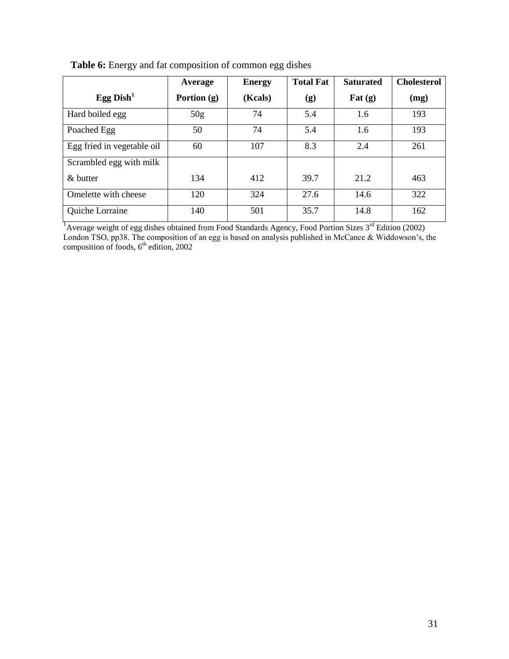|                            | Average         | <b>Energy</b> | <b>Total Fat</b> | <b>Saturated</b>           | <b>Cholesterol</b> |
|----------------------------|-----------------|---------------|------------------|----------------------------|--------------------|
| Egg Dish $^1$              | Portion $(g)$   | (Kcals)       | (g)              | $\mathbf{Fat}(\mathbf{g})$ | (mg)               |
| Hard boiled egg            | 50 <sub>g</sub> | 74            | 5.4              | 1.6                        | 193                |
| Poached Egg                | 50              | 74            | 5.4              | 1.6                        | 193                |
| Egg fried in vegetable oil | 60              | 107           | 8.3              | 2.4                        | 261                |
| Scrambled egg with milk    |                 |               |                  |                            |                    |
| $\&$ butter                | 134             | 412           | 39.7             | 21.2                       | 463                |
| Omelette with cheese       | 120             | 324           | 27.6             | 14.6                       | 322                |
| Quiche Lorraine            | 140             | 501           | 35.7             | 14.8                       | 162                |

**Table 6:** Energy and fat composition of common egg dishes

<sup>1</sup> Average weight of egg dishes obtained from Food Standards Agency, Food Portion Sizes 3<sup>rd</sup> Edition (2002) London TSO, pp38. The composition of an egg is based on analysis published in McCance & Widdowson's, the composition of foods,  $6<sup>th</sup>$  edition, 2002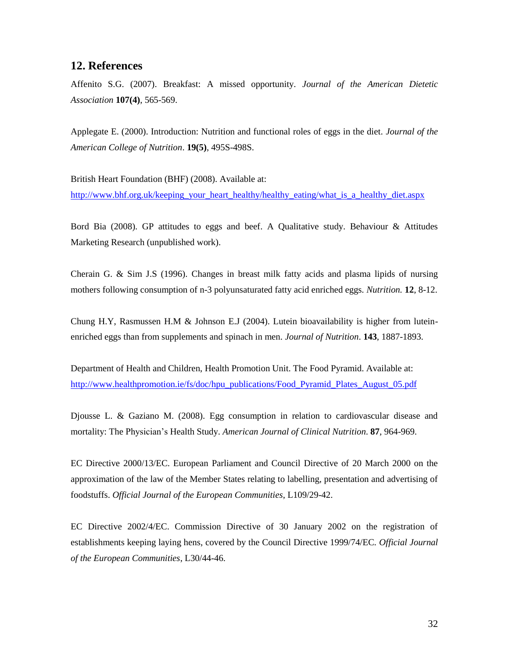# **12. References**

Affenito S.G. (2007). Breakfast: A missed opportunity. *Journal of the American Dietetic Association* **107(4)**, 565-569.

Applegate E. (2000). Introduction: Nutrition and functional roles of eggs in the diet. *Journal of the American College of Nutrition*. **19(5)**, 495S-498S.

British Heart Foundation (BHF) (2008). Available at:

[http://www.bhf.org.uk/keeping\\_your\\_heart\\_healthy/healthy\\_eating/what\\_is\\_a\\_healthy\\_diet.aspx](http://www.bhf.org.uk/keeping_your_heart_healthy/healthy_eating/what_is_a_healthy_diet.aspx)

Bord Bia (2008). GP attitudes to eggs and beef. A Qualitative study. Behaviour & Attitudes Marketing Research (unpublished work).

Cherain G. & Sim J.S (1996). Changes in breast milk fatty acids and plasma lipids of nursing mothers following consumption of n-3 polyunsaturated fatty acid enriched eggs. *Nutrition.* **12**, 8-12.

Chung H.Y, Rasmussen H.M & Johnson E.J (2004). Lutein bioavailability is higher from luteinenriched eggs than from supplements and spinach in men. *Journal of Nutrition*. **143**, 1887-1893.

Department of Health and Children, Health Promotion Unit. The Food Pyramid. Available at: [http://www.healthpromotion.ie/fs/doc/hpu\\_publications/Food\\_Pyramid\\_Plates\\_August\\_05.pdf](http://www.healthpromotion.ie/fs/doc/hpu_publications/Food_Pyramid_Plates_August_05.pdf)

Djousse L. & Gaziano M. (2008). Egg consumption in relation to cardiovascular disease and mortality: The Physician"s Health Study. *American Journal of Clinical Nutrition*. **87**, 964-969.

EC Directive 2000/13/EC. European Parliament and Council Directive of 20 March 2000 on the approximation of the law of the Member States relating to labelling, presentation and advertising of foodstuffs. *Official Journal of the European Communities*, L109/29-42.

EC Directive 2002/4/EC. Commission Directive of 30 January 2002 on the registration of establishments keeping laying hens, covered by the Council Directive 1999/74/EC. *Official Journal of the European Communities*, L30/44-46.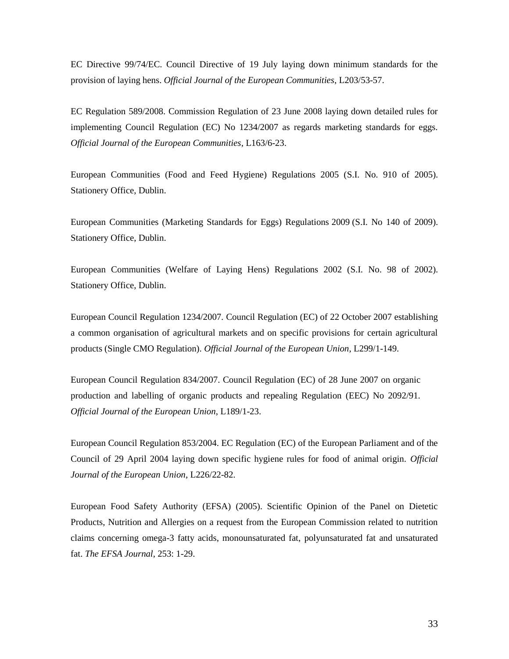EC Directive [99/74/EC.](http://www.fsai.ie/uploadedFiles/Dir1999_74.pdf) Council Directive of 19 July laying down minimum standards for the provision of laying hens. *Official Journal of the European Communities*, L203/53-57.

EC Regulation 589/2008. Commission Regulation of 23 June 2008 laying down detailed rules for implementing Council Regulation (EC) No 1234/2007 as regards marketing standards for eggs. *Official Journal of the European Communities*, L163/6-23.

European Communities (Food and Feed Hygiene) Regulations 2005 [\(S.I. No. 910 of 2005\)](http://www.fsai.ie/uploadedFiles/SI910_2005(2).pdf). Stationery Office, Dublin.

European Communities (Marketing Standards for Eggs) Regulations 2009 [\(S.I. No 140 of 2009\)](http://www.fsai.ie/uploadedFiles/SI140_2009.pdf). Stationery Office, Dublin.

European Communities (Welfare of Laying Hens) Regulations 2002 [\(S.I. No. 98 of 2002\)](http://www.irishstatutebook.ie/2002/en/si/0098.html). Stationery Office, Dublin.

European Council Regulation 1234/2007. [Council Regulation \(EC\)](http://www.fsai.ie/uploadedFiles/Legislation/Food_Legisation_Links/CMO/Consol_Reg1234_2007.pdf) of 22 October 2007 establishing a common organisation of agricultural markets and on specific provisions for certain agricultural products (Single CMO Regulation). *Official Journal of the European Union*, L299/1-149.

[European Council Regulation 834/2007.](http://www.fsai.ie/uploadedFiles/Reg834_2007.pdf) Council Regulation (EC) of 28 June 2007 on organic production and labelling of organic products and repealing Regulation (EEC) No 2092/91. *Official Journal of the European Union*, L189/1-23.

European Council Regulation 853/2004. EC Regulation (EC) of the European Parliament and of the Council of 29 April 2004 laying down specific hygiene rules for food of animal origin. *Official Journal of the European Union*, L226/22-82.

European Food Safety Authority (EFSA) (2005). Scientific Opinion of the Panel on Dietetic Products, Nutrition and Allergies on a request from the European Commission related to nutrition claims concerning omega-3 fatty acids, monounsaturated fat, polyunsaturated fat and unsaturated fat. *The EFSA Journal*, 253: 1-29.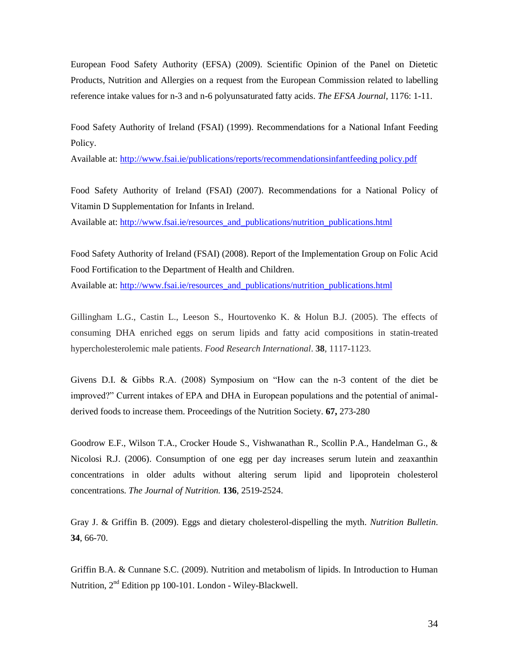European Food Safety Authority (EFSA) (2009). Scientific Opinion of the Panel on Dietetic Products, Nutrition and Allergies on a request from the European Commission related to labelling reference intake values for n-3 and n-6 polyunsaturated fatty acids. *The EFSA Journal*, 1176: 1-11.

Food Safety Authority of Ireland (FSAI) (1999). Recommendations for a National Infant Feeding Policy.

Available at: [http://www.fsai.ie/publications/reports/recommendationsinfantfeeding policy.pdf](http://www.fsai.ie/publications/reports/recommendationsinfantfeeding%20policy.pdf)

Food Safety Authority of Ireland (FSAI) (2007). Recommendations for a National Policy of Vitamin D Supplementation for Infants in Ireland.

Available at: [http://www.fsai.ie/resources\\_and\\_publications/nutrition\\_publications.html](http://www.fsai.ie/resources_and_publications/nutrition_publications.html)

Food Safety Authority of Ireland (FSAI) (2008). Report of the Implementation Group on Folic Acid Food Fortification to the Department of Health and Children.

Available at: [http://www.fsai.ie/resources\\_and\\_publications/nutrition\\_publications.html](http://www.fsai.ie/resources_and_publications/nutrition_publications.html)

Gillingham L.G., Castin L., Leeson S., Hourtovenko K. & Holun B.J. (2005). The effects of consuming DHA enriched eggs on serum lipids and fatty acid compositions in statin-treated hypercholesterolemic male patients. *Food Research International*. **38**, 1117-1123.

Givens D.I. & Gibbs R.A. (2008) Symposium on "How can the n-3 content of the diet be improved?" Current intakes of EPA and DHA in European populations and the potential of animalderived foods to increase them. Proceedings of the Nutrition Society. **67,** 273-280

Goodrow E.F., Wilson T.A., Crocker Houde S., Vishwanathan R., Scollin P.A., Handelman G., & Nicolosi R.J. (2006). Consumption of one egg per day increases serum lutein and zeaxanthin concentrations in older adults without altering serum lipid and lipoprotein cholesterol concentrations. *The Journal of Nutrition.* **136**, 2519-2524.

Gray J. & Griffin B. (2009). Eggs and dietary cholesterol-dispelling the myth. *Nutrition Bulletin*. **34**, 66-70.

Griffin B.A. & Cunnane S.C. (2009). Nutrition and metabolism of lipids. In Introduction to Human Nutrition, 2nd Edition pp 100-101. London - Wiley-Blackwell.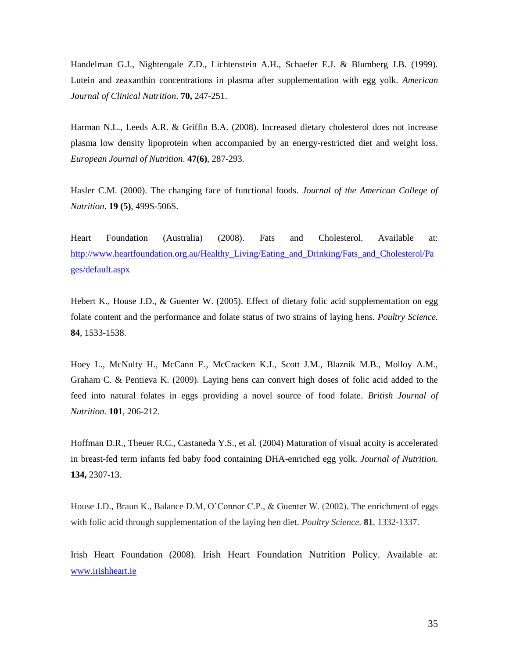Handelman G.J., Nightengale Z.D., Lichtenstein A.H., Schaefer E.J. & Blumberg J.B. (1999). Lutein and zeaxanthin concentrations in plasma after supplementation with egg yolk. *American Journal of Clinical Nutrition*. **70,** 247-251.

Harman N.L., Leeds A.R. & Griffin B.A. (2008). Increased dietary cholesterol does not increase plasma low density lipoprotein when accompanied by an energy-restricted diet and weight loss. *European Journal of Nutrition*. **47(6)**, 287-293.

Hasler C.M. (2000). The changing face of functional foods*. Journal of the American College of Nutrition*. **19 (5)**, 499S-506S.

Heart Foundation (Australia) (2008). Fats and Cholesterol. Available at: [http://www.heartfoundation.org.au/Healthy\\_Living/Eating\\_and\\_Drinking/Fats\\_and\\_Cholesterol/Pa](http://www.heartfoundation.org.au/Healthy_Living/Eating_and_Drinking/Fats_and_Cholesterol/Pages/default.aspx) [ges/default.aspx](http://www.heartfoundation.org.au/Healthy_Living/Eating_and_Drinking/Fats_and_Cholesterol/Pages/default.aspx)

Hebert K., House J.D., & Guenter W. (2005). Effect of dietary folic acid supplementation on egg folate content and the performance and folate status of two strains of laying hens. *Poultry Science.* **84**, 1533-1538.

Hoey L., McNulty H., McCann E., McCracken K.J., Scott J.M., Blaznik M.B., Molloy A.M., Graham C. & Pentieva K. (2009). Laying hens can convert high doses of folic acid added to the feed into natural folates in eggs providing a novel source of food folate. *British Journal of Nutrition*. **101**, 206-212.

Hoffman D.R., Theuer R.C., Castaneda Y.S., et al. (2004) Maturation of visual acuity is accelerated in breast-fed term infants fed baby food containing DHA-enriched egg yolk. *Journal of Nutrition*. **134,** 2307-13.

House J.D., Braun K., Balance D.M, O"Connor C.P., & Guenter W. (2002). The enrichment of eggs with folic acid through supplementation of the laying hen diet. *Poultry Science.* **81**, 1332-1337.

Irish Heart Foundation (2008). Irish Heart Foundation Nutrition Policy. Available at: [www.irishheart.ie](http://www.irishheart.ie/)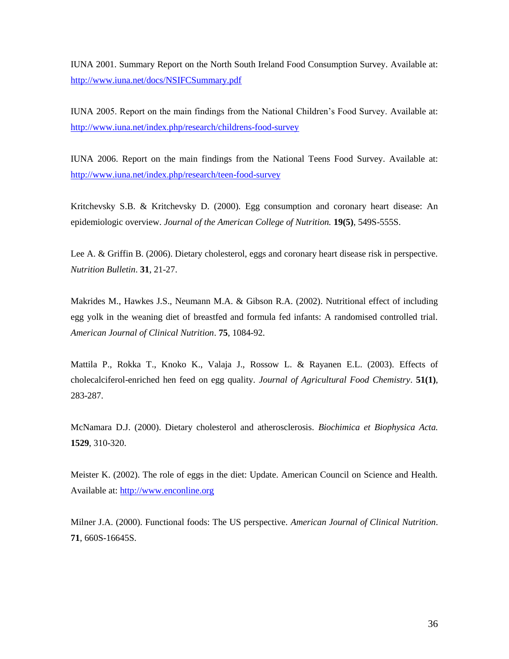IUNA 2001. Summary Report on the North South Ireland Food Consumption Survey. Available at: <http://www.iuna.net/docs/NSIFCSummary.pdf>

IUNA 2005. Report on the main findings from the National Children"s Food Survey. Available at: <http://www.iuna.net/index.php/research/childrens-food-survey>

IUNA 2006. Report on the main findings from the National Teens Food Survey. Available at: <http://www.iuna.net/index.php/research/teen-food-survey>

Kritchevsky S.B. & Kritchevsky D. (2000). Egg consumption and coronary heart disease: An epidemiologic overview. *Journal of the American College of Nutrition.* **19(5)**, 549S-555S.

Lee A. & Griffin B. (2006). Dietary cholesterol, eggs and coronary heart disease risk in perspective. *Nutrition Bulletin*. **31**, 21-27.

Makrides M., Hawkes J.S., Neumann M.A. & Gibson R.A. (2002). Nutritional effect of including egg yolk in the weaning diet of breastfed and formula fed infants: A randomised controlled trial. *American Journal of Clinical Nutrition*. **75**, 1084-92.

Mattila P., Rokka T., Knoko K., Valaja J., Rossow L. & Rayanen E.L. (2003). Effects of cholecalciferol-enriched hen feed on egg quality. *Journal of Agricultural Food Chemistry*. **51(1)**, 283-287.

McNamara D.J. (2000). Dietary cholesterol and atherosclerosis. *Biochimica et Biophysica Acta.* **1529**, 310-320.

Meister K. (2002). The role of eggs in the diet: Update. American Council on Science and Health. Available at: [http://www.enconline.org](http://www.enconline.org/)

Milner J.A. (2000). Functional foods: The US perspective. *American Journal of Clinical Nutrition*. **71**, 660S-16645S.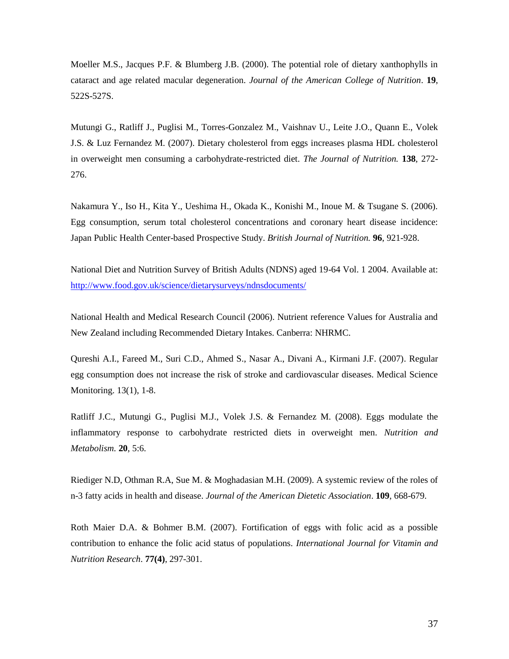Moeller M.S., Jacques P.F. & Blumberg J.B. (2000). The potential role of dietary xanthophylls in cataract and age related macular degeneration. *Journal of the American College of Nutrition*. **19**, 522S-527S.

Mutungi G., Ratliff J., Puglisi M., Torres-Gonzalez M., Vaishnav U., Leite J.O., Quann E., Volek J.S. & Luz Fernandez M. (2007). Dietary cholesterol from eggs increases plasma HDL cholesterol in overweight men consuming a carbohydrate-restricted diet. *The Journal of Nutrition.* **138**, 272- 276.

Nakamura Y., Iso H., Kita Y., Ueshima H., Okada K., Konishi M., Inoue M. & Tsugane S. (2006). Egg consumption, serum total cholesterol concentrations and coronary heart disease incidence: Japan Public Health Center-based Prospective Study. *British Journal of Nutrition.* **96**, 921-928.

National Diet and Nutrition Survey of British Adults (NDNS) aged 19-64 Vol. 1 2004. Available at: <http://www.food.gov.uk/science/dietarysurveys/ndnsdocuments/>

National Health and Medical Research Council (2006). Nutrient reference Values for Australia and New Zealand including Recommended Dietary Intakes. Canberra: NHRMC.

Qureshi A.I., Fareed M., Suri C.D., Ahmed S., Nasar A., Divani A., Kirmani J.F. (2007). Regular egg consumption does not increase the risk of stroke and cardiovascular diseases. Medical Science Monitoring. 13(1), 1-8.

Ratliff J.C., Mutungi G., Puglisi M.J., Volek J.S. & Fernandez M. (2008). Eggs modulate the inflammatory response to carbohydrate restricted diets in overweight men. *Nutrition and Metabolism.* **20**, 5:6.

Riediger N.D, Othman R.A, Sue M. & Moghadasian M.H. (2009). A systemic review of the roles of n-3 fatty acids in health and disease. *Journal of the American Dietetic Association*. **109**, 668-679.

Roth Maier D.A. & Bohmer B.M. (2007). Fortification of eggs with folic acid as a possible contribution to enhance the folic acid status of populations. *International Journal for Vitamin and Nutrition Research*. **77(4)**, 297-301.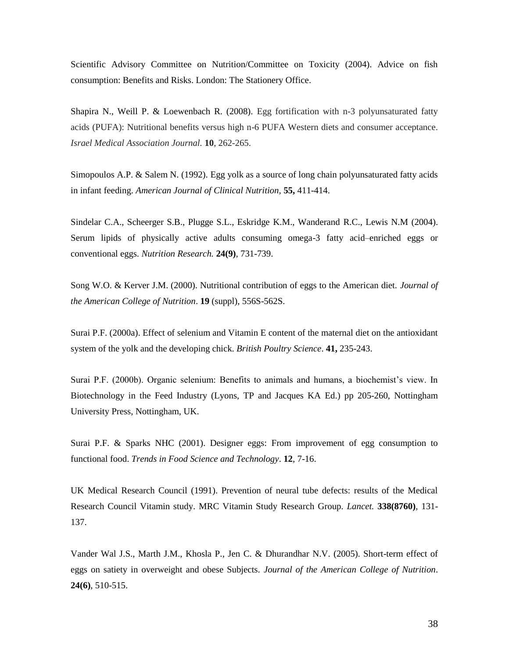Scientific Advisory Committee on Nutrition/Committee on Toxicity (2004). Advice on fish consumption: Benefits and Risks. London: The Stationery Office.

Shapira N., Weill P. & Loewenbach R. (2008). Egg fortification with n-3 polyunsaturated fatty acids (PUFA): Nutritional benefits versus high n-6 PUFA Western diets and consumer acceptance. *Israel Medical Association Journal.* **10**, 262-265.

Simopoulos A.P. & Salem N. (1992). Egg yolk as a source of long chain polyunsaturated fatty acids in infant feeding. *American Journal of Clinical Nutrition,* **55,** 411-414.

Sindelar C.A., Scheerger S.B., Plugge S.L., Eskridge K.M., Wanderand R.C., Lewis N.M (2004). Serum lipids of physically active adults consuming omega-3 fatty acid–enriched eggs or conventional eggs. *Nutrition Research.* **24(9)**, 731-739.

Song W.O. & Kerver J.M. (2000). Nutritional contribution of eggs to the American diet. *Journal of the American College of Nutrition*. **19** (suppl), 556S-562S.

Surai P.F. (2000a). Effect of selenium and Vitamin E content of the maternal diet on the antioxidant system of the yolk and the developing chick. *British Poultry Science*. **41,** 235-243.

Surai P.F. (2000b). Organic selenium: Benefits to animals and humans, a biochemist"s view. In Biotechnology in the Feed Industry (Lyons, TP and Jacques KA Ed.) pp 205-260, Nottingham University Press, Nottingham, UK.

Surai P.F. & Sparks NHC (2001). Designer eggs: From improvement of egg consumption to functional food. *Trends in Food Science and Technology*. **12**, 7-16.

UK Medical Research Council (1991). Prevention of neural tube defects: results of the Medical Research Council Vitamin study. MRC Vitamin Study Research Group. *Lancet.* **338(8760)**, 131- 137.

Vander Wal J.S., Marth J.M., Khosla P., Jen C. & Dhurandhar N.V. (2005). Short-term effect of eggs on satiety in overweight and obese Subjects. *Journal of the American College of Nutrition*. **24(6)**, 510-515.